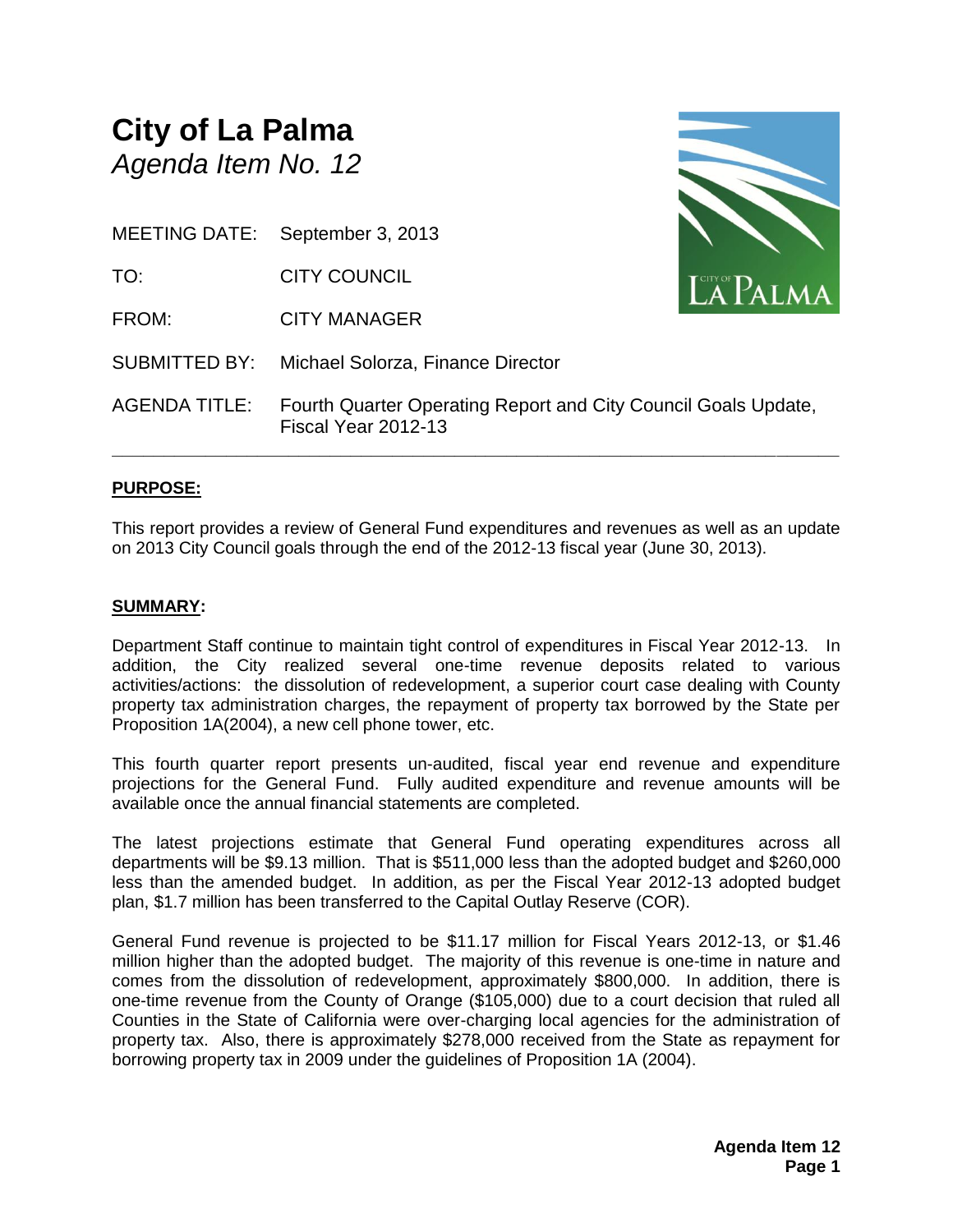#### **City of La Palma** *Agenda Item No. 12*

MEETING DATE: September 3, 2013

TO: CITY COUNCIL

FROM: CITY MANAGER

SUBMITTED BY: Michael Solorza, Finance Director



AGENDA TITLE: Fourth Quarter Operating Report and City Council Goals Update, Fiscal Year 2012-13

**\_\_\_\_\_\_\_\_\_\_\_\_\_\_\_\_\_\_\_\_\_\_\_\_\_\_\_\_\_\_\_\_\_\_\_\_\_\_\_\_\_\_\_\_\_\_\_\_\_\_\_\_\_\_\_\_\_\_\_\_\_\_\_\_\_\_\_\_\_\_**

#### **PURPOSE:**

This report provides a review of General Fund expenditures and revenues as well as an update on 2013 City Council goals through the end of the 2012-13 fiscal year (June 30, 2013).

#### **SUMMARY:**

Department Staff continue to maintain tight control of expenditures in Fiscal Year 2012-13. In addition, the City realized several one-time revenue deposits related to various activities/actions: the dissolution of redevelopment, a superior court case dealing with County property tax administration charges, the repayment of property tax borrowed by the State per Proposition 1A(2004), a new cell phone tower, etc.

This fourth quarter report presents un-audited, fiscal year end revenue and expenditure projections for the General Fund. Fully audited expenditure and revenue amounts will be available once the annual financial statements are completed.

The latest projections estimate that General Fund operating expenditures across all departments will be \$9.13 million. That is \$511,000 less than the adopted budget and \$260,000 less than the amended budget. In addition, as per the Fiscal Year 2012-13 adopted budget plan, \$1.7 million has been transferred to the Capital Outlay Reserve (COR).

General Fund revenue is projected to be \$11.17 million for Fiscal Years 2012-13, or \$1.46 million higher than the adopted budget. The majority of this revenue is one-time in nature and comes from the dissolution of redevelopment, approximately \$800,000. In addition, there is one-time revenue from the County of Orange (\$105,000) due to a court decision that ruled all Counties in the State of California were over-charging local agencies for the administration of property tax. Also, there is approximately \$278,000 received from the State as repayment for borrowing property tax in 2009 under the guidelines of Proposition 1A (2004).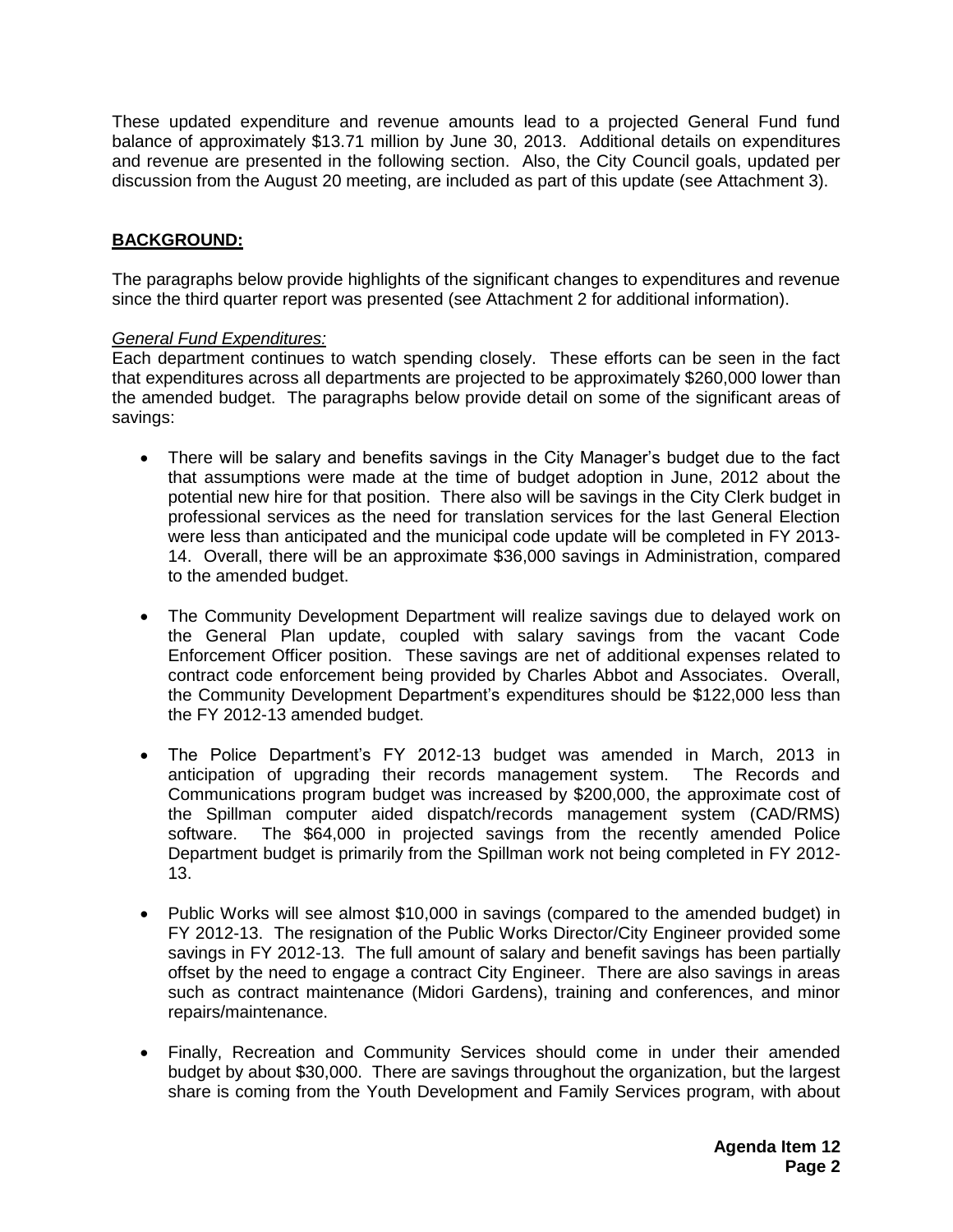These updated expenditure and revenue amounts lead to a projected General Fund fund balance of approximately \$13.71 million by June 30, 2013. Additional details on expenditures and revenue are presented in the following section. Also, the City Council goals, updated per discussion from the August 20 meeting, are included as part of this update (see Attachment 3).

#### **BACKGROUND:**

The paragraphs below provide highlights of the significant changes to expenditures and revenue since the third quarter report was presented (see Attachment 2 for additional information).

#### *General Fund Expenditures:*

Each department continues to watch spending closely. These efforts can be seen in the fact that expenditures across all departments are projected to be approximately \$260,000 lower than the amended budget. The paragraphs below provide detail on some of the significant areas of savings:

- There will be salary and benefits savings in the City Manager's budget due to the fact that assumptions were made at the time of budget adoption in June, 2012 about the potential new hire for that position. There also will be savings in the City Clerk budget in professional services as the need for translation services for the last General Election were less than anticipated and the municipal code update will be completed in FY 2013- 14. Overall, there will be an approximate \$36,000 savings in Administration, compared to the amended budget.
- The Community Development Department will realize savings due to delayed work on the General Plan update, coupled with salary savings from the vacant Code Enforcement Officer position. These savings are net of additional expenses related to contract code enforcement being provided by Charles Abbot and Associates. Overall, the Community Development Department's expenditures should be \$122,000 less than the FY 2012-13 amended budget.
- The Police Department's FY 2012-13 budget was amended in March, 2013 in anticipation of upgrading their records management system. The Records and Communications program budget was increased by \$200,000, the approximate cost of the Spillman computer aided dispatch/records management system (CAD/RMS) software. The \$64,000 in projected savings from the recently amended Police Department budget is primarily from the Spillman work not being completed in FY 2012- 13.
- Public Works will see almost \$10,000 in savings (compared to the amended budget) in FY 2012-13. The resignation of the Public Works Director/City Engineer provided some savings in FY 2012-13. The full amount of salary and benefit savings has been partially offset by the need to engage a contract City Engineer. There are also savings in areas such as contract maintenance (Midori Gardens), training and conferences, and minor repairs/maintenance.
- Finally, Recreation and Community Services should come in under their amended budget by about \$30,000. There are savings throughout the organization, but the largest share is coming from the Youth Development and Family Services program, with about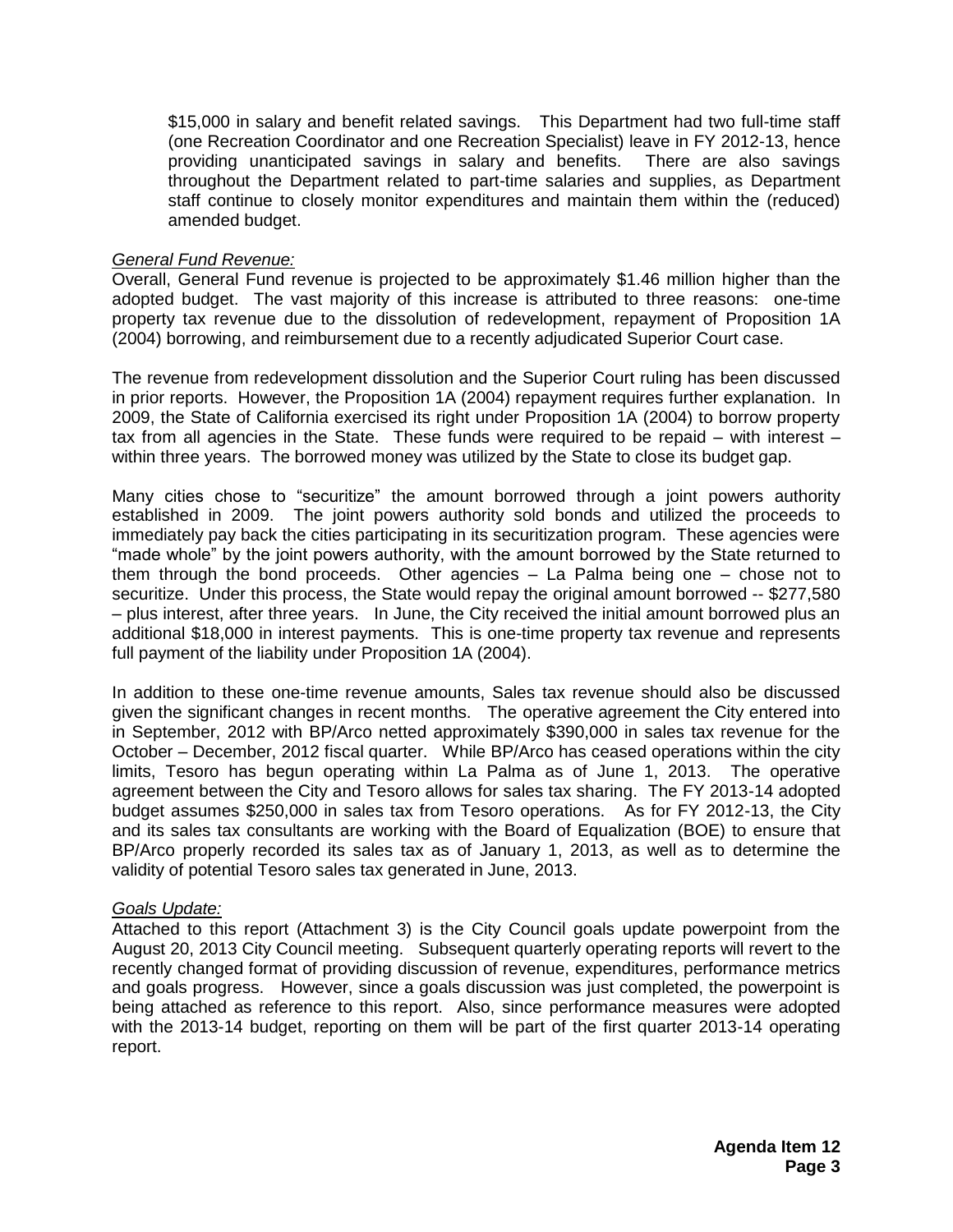\$15,000 in salary and benefit related savings. This Department had two full-time staff (one Recreation Coordinator and one Recreation Specialist) leave in FY 2012-13, hence providing unanticipated savings in salary and benefits. There are also savings throughout the Department related to part-time salaries and supplies, as Department staff continue to closely monitor expenditures and maintain them within the (reduced) amended budget.

#### *General Fund Revenue:*

Overall, General Fund revenue is projected to be approximately \$1.46 million higher than the adopted budget. The vast majority of this increase is attributed to three reasons: one-time property tax revenue due to the dissolution of redevelopment, repayment of Proposition 1A (2004) borrowing, and reimbursement due to a recently adjudicated Superior Court case.

The revenue from redevelopment dissolution and the Superior Court ruling has been discussed in prior reports. However, the Proposition 1A (2004) repayment requires further explanation. In 2009, the State of California exercised its right under Proposition 1A (2004) to borrow property tax from all agencies in the State. These funds were required to be repaid – with interest – within three years. The borrowed money was utilized by the State to close its budget gap.

Many cities chose to "securitize" the amount borrowed through a joint powers authority established in 2009. The joint powers authority sold bonds and utilized the proceeds to immediately pay back the cities participating in its securitization program. These agencies were "made whole" by the joint powers authority, with the amount borrowed by the State returned to them through the bond proceeds. Other agencies – La Palma being one – chose not to securitize. Under this process, the State would repay the original amount borrowed -- \$277,580 – plus interest, after three years. In June, the City received the initial amount borrowed plus an additional \$18,000 in interest payments. This is one-time property tax revenue and represents full payment of the liability under Proposition 1A (2004).

In addition to these one-time revenue amounts, Sales tax revenue should also be discussed given the significant changes in recent months. The operative agreement the City entered into in September, 2012 with BP/Arco netted approximately \$390,000 in sales tax revenue for the October – December, 2012 fiscal quarter. While BP/Arco has ceased operations within the city limits, Tesoro has begun operating within La Palma as of June 1, 2013. The operative agreement between the City and Tesoro allows for sales tax sharing. The FY 2013-14 adopted budget assumes \$250,000 in sales tax from Tesoro operations. As for FY 2012-13, the City and its sales tax consultants are working with the Board of Equalization (BOE) to ensure that BP/Arco properly recorded its sales tax as of January 1, 2013, as well as to determine the validity of potential Tesoro sales tax generated in June, 2013.

#### *Goals Update:*

Attached to this report (Attachment 3) is the City Council goals update powerpoint from the August 20, 2013 City Council meeting. Subsequent quarterly operating reports will revert to the recently changed format of providing discussion of revenue, expenditures, performance metrics and goals progress. However, since a goals discussion was just completed, the powerpoint is being attached as reference to this report. Also, since performance measures were adopted with the 2013-14 budget, reporting on them will be part of the first quarter 2013-14 operating report.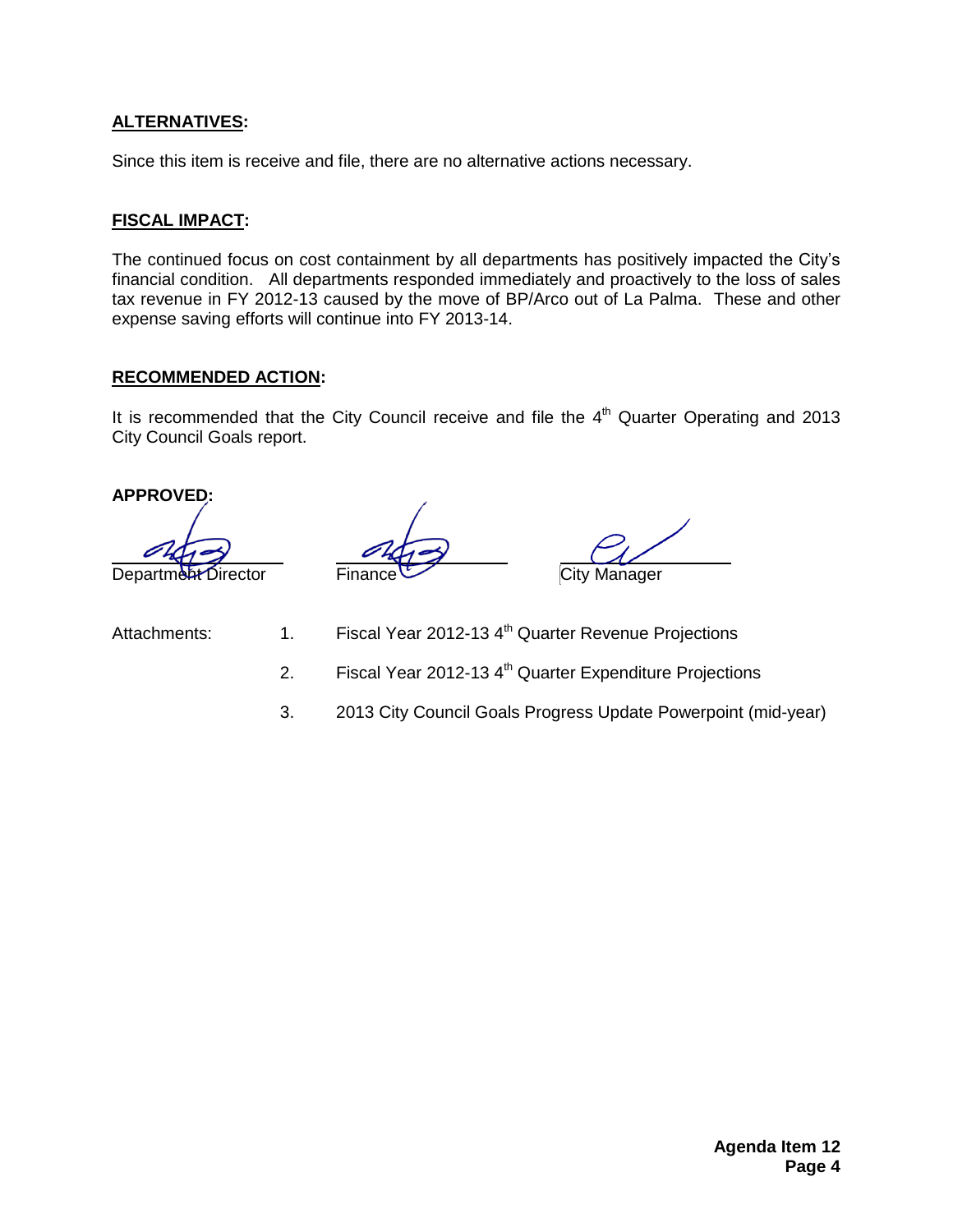#### **ALTERNATIVES:**

Since this item is receive and file, there are no alternative actions necessary.

#### **FISCAL IMPACT:**

The continued focus on cost containment by all departments has positively impacted the City's financial condition. All departments responded immediately and proactively to the loss of sales tax revenue in FY 2012-13 caused by the move of BP/Arco out of La Palma. These and other expense saving efforts will continue into FY 2013-14.

#### **RECOMMENDED ACTION:**

It is recommended that the City Council receive and file the  $4<sup>th</sup>$  Quarter Operating and 2013 City Council Goals report.

**APPROVED:**

Department Director Finance City Manager

Attachments: 1. Fiscal Year 2012-13 4<sup>th</sup> Quarter Revenue Projections

2. Fiscal Year 2012-13  $4<sup>th</sup>$  Quarter Expenditure Projections

3. 2013 City Council Goals Progress Update Powerpoint (mid-year)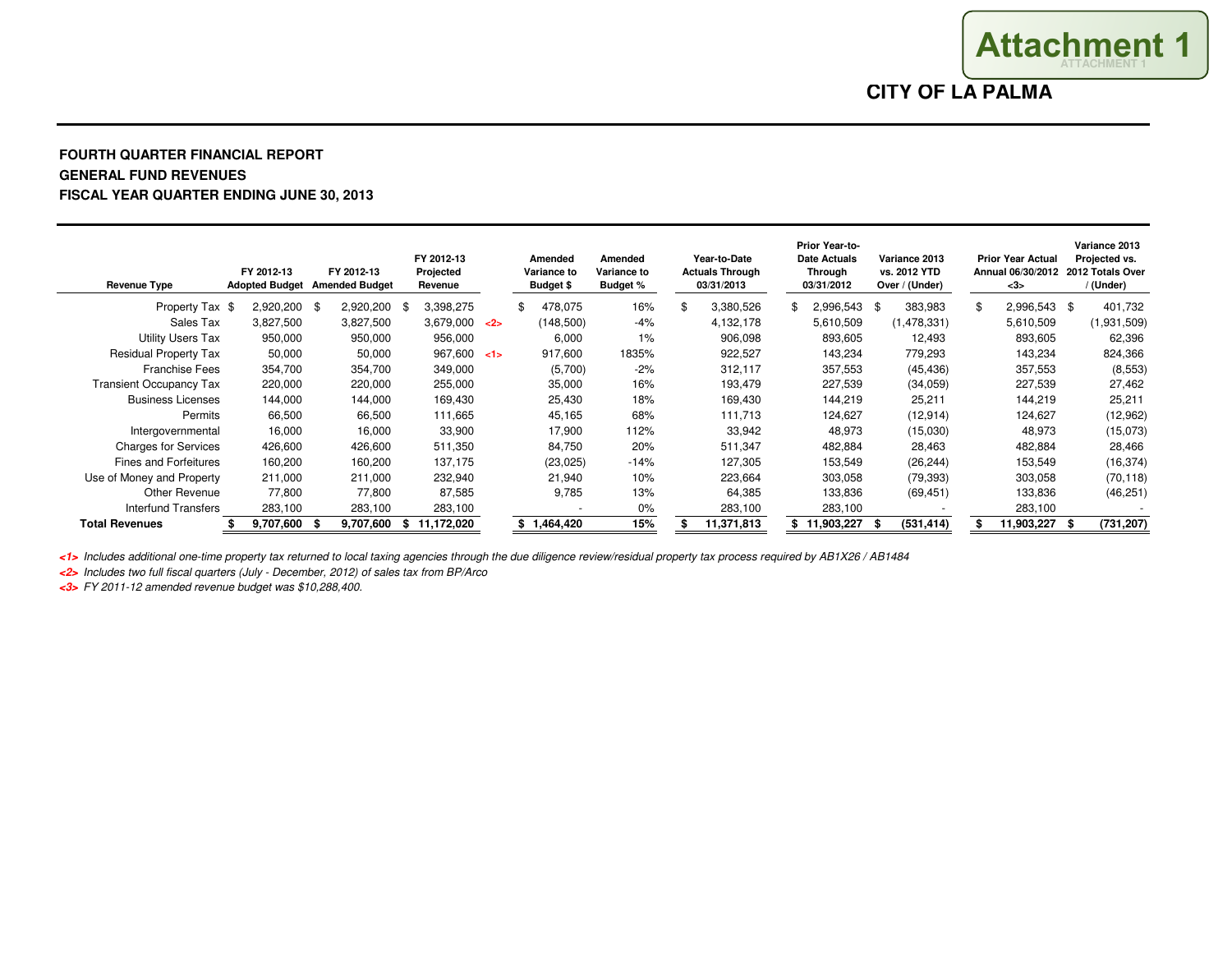**CITY OF LA PALMA**

**ATTACHMENT 1Attachment 1**

#### **FOURTH QUARTER FINANCIAL REPORTGENERAL FUND REVENUESFISCAL YEAR QUARTER ENDING JUNE 30, 2013**

| <b>Revenue Type</b>            | FY 2012-13   |     | FY 2012-13<br>Adopted Budget Amended Budget | FY 2012-13<br>Projected<br>Revenue |     | Amended<br>Variance to<br><b>Budget \$</b> | Amended<br>Variance to<br><b>Budget %</b> | Year-to-Date<br><b>Actuals Through</b><br>03/31/2013 | Prior Year-to-<br><b>Date Actuals</b><br>Through<br>03/31/2012 |      | Variance 2013<br>vs. 2012 YTD<br>Over / (Under) |     | <b>Prior Year Actual</b><br>Annual 06/30/2012 2012 Totals Over<br>$3$ |      | Variance 2013<br>Projected vs.<br>/ (Under) |
|--------------------------------|--------------|-----|---------------------------------------------|------------------------------------|-----|--------------------------------------------|-------------------------------------------|------------------------------------------------------|----------------------------------------------------------------|------|-------------------------------------------------|-----|-----------------------------------------------------------------------|------|---------------------------------------------|
| Property Tax \$                | 2,920,200 \$ |     | 2,920,200 \$                                | 3,398,275                          |     | 478,075                                    | 16%                                       | 3,380,526                                            | 2,996,543                                                      | - \$ | 383,983                                         | \$. | 2,996,543                                                             | - \$ | 401,732                                     |
| Sales Tax                      | 3,827,500    |     | 3,827,500                                   | 3,679,000                          | $2$ | (148,500)                                  | $-4%$                                     | 4,132,178                                            | 5,610,509                                                      |      | (1,478,331)                                     |     | 5,610,509                                                             |      | (1,931,509)                                 |
| <b>Utility Users Tax</b>       | 950,000      |     | 950,000                                     | 956,000                            |     | 6,000                                      | 1%                                        | 906,098                                              | 893,605                                                        |      | 12,493                                          |     | 893,605                                                               |      | 62,396                                      |
| <b>Residual Property Tax</b>   | 50,000       |     | 50,000                                      | 967,600 < 1                        |     | 917,600                                    | 1835%                                     | 922,527                                              | 143,234                                                        |      | 779,293                                         |     | 143,234                                                               |      | 824,366                                     |
| <b>Franchise Fees</b>          | 354,700      |     | 354,700                                     | 349,000                            |     | (5,700)                                    | $-2%$                                     | 312,117                                              | 357,553                                                        |      | (45, 436)                                       |     | 357,553                                                               |      | (8, 553)                                    |
| <b>Transient Occupancy Tax</b> | 220,000      |     | 220,000                                     | 255,000                            |     | 35,000                                     | 16%                                       | 193,479                                              | 227,539                                                        |      | (34,059)                                        |     | 227,539                                                               |      | 27,462                                      |
| <b>Business Licenses</b>       | 144,000      |     | 144,000                                     | 169,430                            |     | 25,430                                     | 18%                                       | 169,430                                              | 144,219                                                        |      | 25,211                                          |     | 144,219                                                               |      | 25,211                                      |
| Permits                        | 66,500       |     | 66,500                                      | 111,665                            |     | 45,165                                     | 68%                                       | 111.713                                              | 124,627                                                        |      | (12, 914)                                       |     | 124,627                                                               |      | (12,962)                                    |
| Intergovernmental              | 16,000       |     | 16,000                                      | 33,900                             |     | 17,900                                     | 112%                                      | 33,942                                               | 48,973                                                         |      | (15,030)                                        |     | 48,973                                                                |      | (15,073)                                    |
| <b>Charges for Services</b>    | 426,600      |     | 426,600                                     | 511,350                            |     | 84,750                                     | 20%                                       | 511,347                                              | 482,884                                                        |      | 28,463                                          |     | 482,884                                                               |      | 28,466                                      |
| <b>Fines and Forfeitures</b>   | 160,200      |     | 160,200                                     | 137,175                            |     | (23, 025)                                  | $-14%$                                    | 127,305                                              | 153,549                                                        |      | (26, 244)                                       |     | 153,549                                                               |      | (16, 374)                                   |
| Use of Money and Property      | 211,000      |     | 211,000                                     | 232,940                            |     | 21,940                                     | 10%                                       | 223,664                                              | 303,058                                                        |      | (79, 393)                                       |     | 303,058                                                               |      | (70, 118)                                   |
| Other Revenue                  | 77.800       |     | 77.800                                      | 87,585                             |     | 9.785                                      | 13%                                       | 64,385                                               | 133,836                                                        |      | (69, 451)                                       |     | 133,836                                                               |      | (46, 251)                                   |
| Interfund Transfers            | 283,100      |     | 283,100                                     | 283,100                            |     |                                            | $0\%$                                     | 283,100                                              | 283,100                                                        |      |                                                 |     | 283,100                                                               |      |                                             |
| <b>Total Revenues</b>          | 9.707.600    | - S | 9.707.600                                   | \$11.172.020                       |     | 1,464,420                                  | 15%                                       | 11.371.813                                           | 11,903,227                                                     | - 56 | (531, 414)                                      |     | 11,903,227                                                            | S.   | (731, 207)                                  |

**<1>** Includes additional one-time property tax returned to local taxing agencies through the due diligence review/residual property tax process required by AB1X26 / AB1484

**<2>** Includes two full fiscal quarters (July - December, 2012) of sales tax from BP/Arco

**<3>** FY 2011-12 amended revenue budget was \$10,288,400.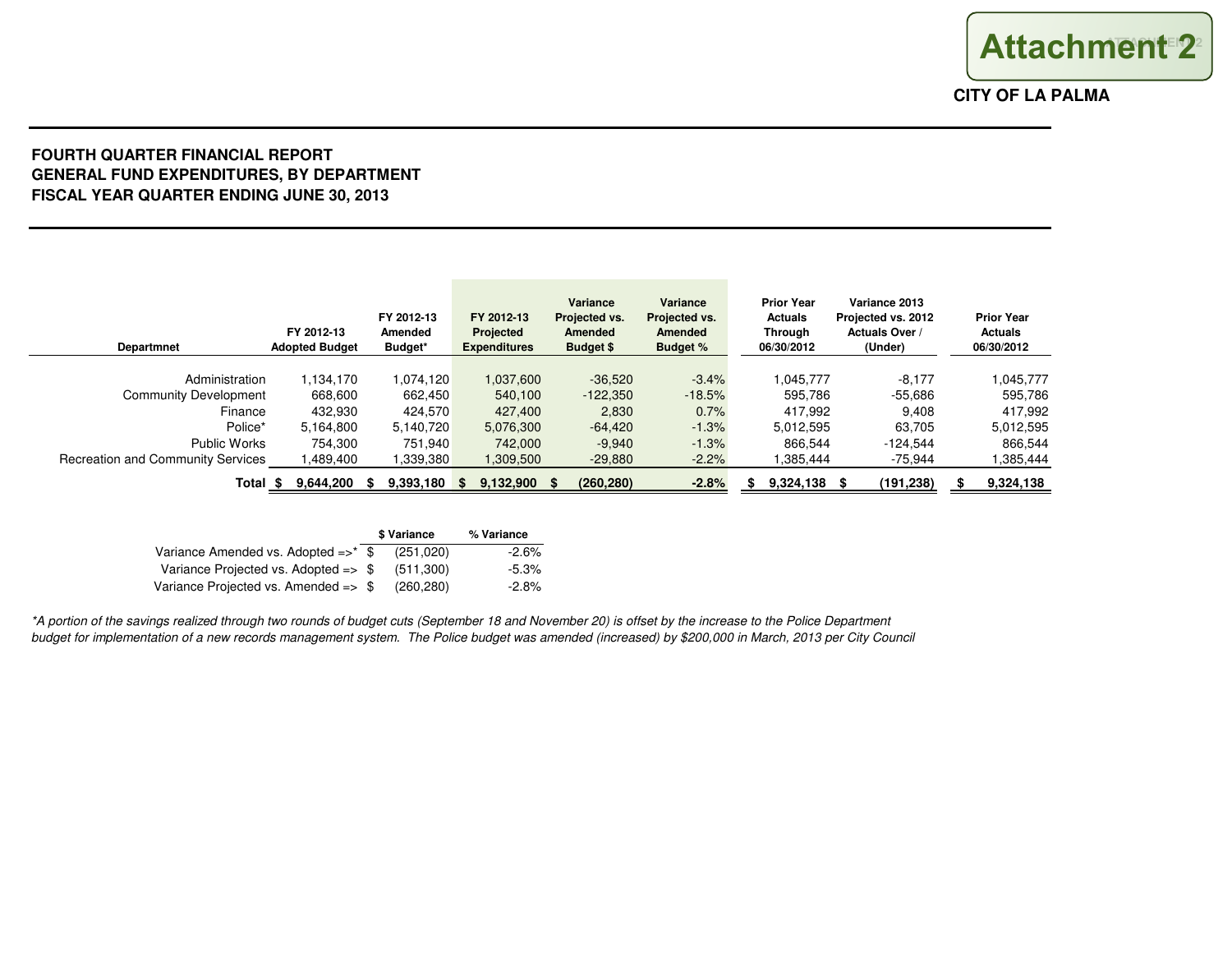#### **FOURTH QUARTER FINANCIAL REPORT GENERAL FUND EXPENDITURES, BY DEPARTMENTFISCAL YEAR QUARTER ENDING JUNE 30, 2013**

| <b>Departmnet</b>                        | FY 2012-13<br><b>Adopted Budget</b> | FY 2012-13<br>Amended<br>Budget* | FY 2012-13<br>Projected<br><b>Expenditures</b> | Variance<br>Projected vs.<br>Amended<br><b>Budget \$</b> | Variance<br>Projected vs.<br><b>Amended</b><br><b>Budget %</b> | <b>Prior Year</b><br><b>Actuals</b><br><b>Through</b><br>06/30/2012 | Variance 2013<br>Projected vs. 2012<br>Actuals Over /<br>(Under) | <b>Prior Year</b><br><b>Actuals</b><br>06/30/2012 |
|------------------------------------------|-------------------------------------|----------------------------------|------------------------------------------------|----------------------------------------------------------|----------------------------------------------------------------|---------------------------------------------------------------------|------------------------------------------------------------------|---------------------------------------------------|
| Administration                           | 1.134.170                           | 1.074.120                        | 1,037,600                                      | $-36,520$                                                | $-3.4%$                                                        | .045.777                                                            | $-8.177$                                                         | 1.045.777                                         |
| Community Development                    | 668,600                             | 662,450                          | 540,100                                        | $-122.350$                                               | $-18.5%$                                                       | 595.786                                                             | $-55.686$                                                        | 595,786                                           |
| Finance                                  | 432,930                             | 424.570                          | 427,400                                        | 2,830                                                    | 0.7%                                                           | 417,992                                                             | 9.408                                                            | 417,992                                           |
| Police*                                  | 5,164,800                           | 5,140,720                        | 5,076,300                                      | $-64,420$                                                | $-1.3%$                                                        | 5,012,595                                                           | 63.705                                                           | 5,012,595                                         |
| Public Works                             | 754.300                             | 751.940                          | 742,000                                        | $-9.940$                                                 | $-1.3%$                                                        | 866,544                                                             | $-124.544$                                                       | 866.544                                           |
| <b>Recreation and Community Services</b> | .489.400                            | ا 339,380.                       | 1,309,500                                      | $-29,880$                                                | $-2.2%$                                                        | .385.444                                                            | -75,944                                                          | 1,385,444                                         |
| Total \$                                 | 9,644,200                           | 9,393,180                        | 9,132,900<br>-SS                               | (260, 280)                                               | $-2.8%$                                                        | 9,324,138                                                           | (191,238)                                                        | 9,324,138                                         |

|                                                 | \$ Variance | % Variance |  |  |
|-------------------------------------------------|-------------|------------|--|--|
| Variance Amended vs. Adopted $\Rightarrow$ \$   | (251.020)   | $-2.6%$    |  |  |
| Variance Projected vs. Adopted $\Rightarrow$ \$ | (511.300)   | $-5.3\%$   |  |  |
| Variance Projected vs. Amended $\Rightarrow$ \$ | (260.280)   | $-2.8\%$   |  |  |

\*A portion of the savings realized through two rounds of budget cuts (September 18 and November 20) is offset by the increase to the Police Department budget for implementation of a new records management system. The Police budget was amended (increased) by \$200,000 in March, 2013 per City Council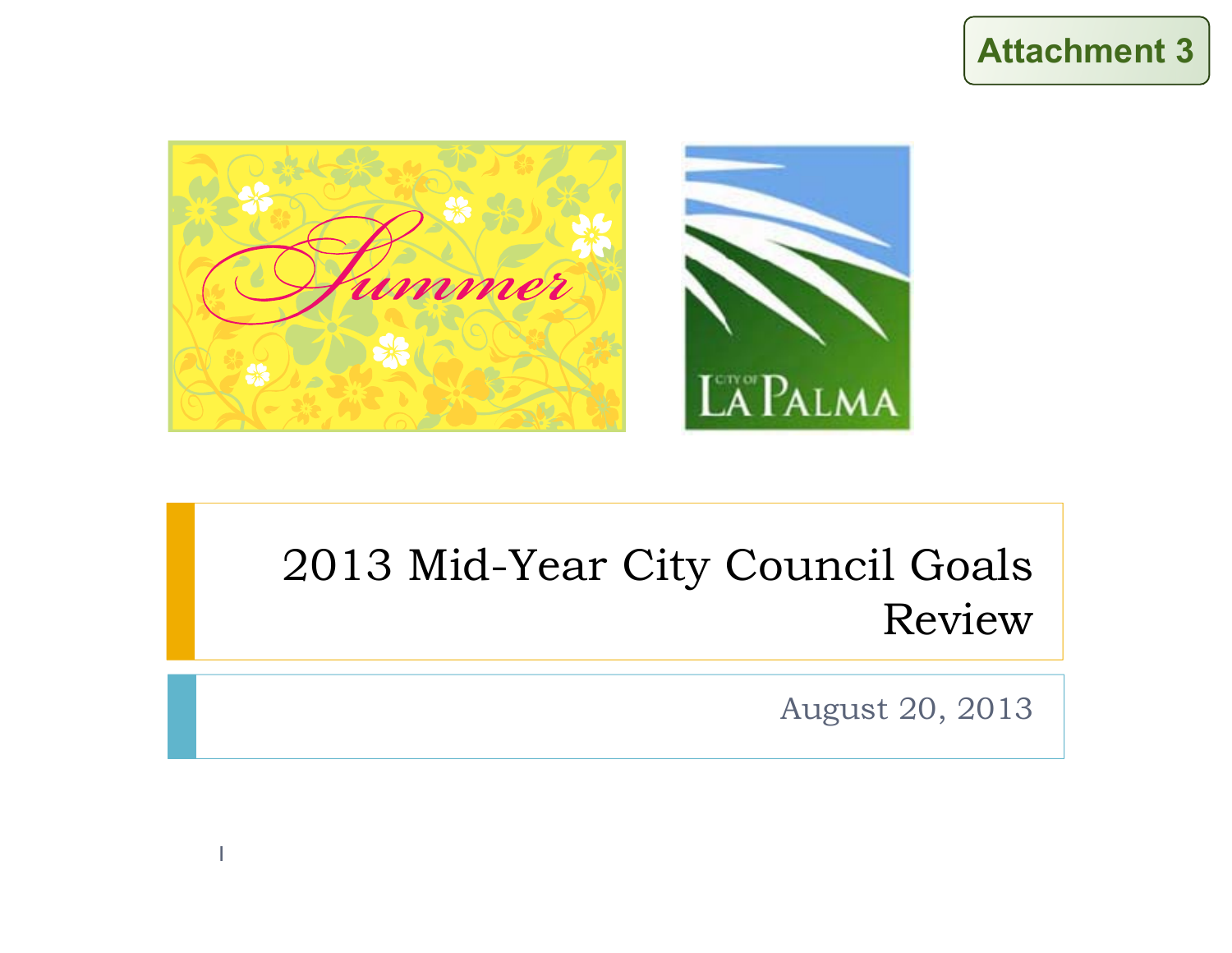



## 2013 Mid-Year City Council Goals Review

August 20, 2013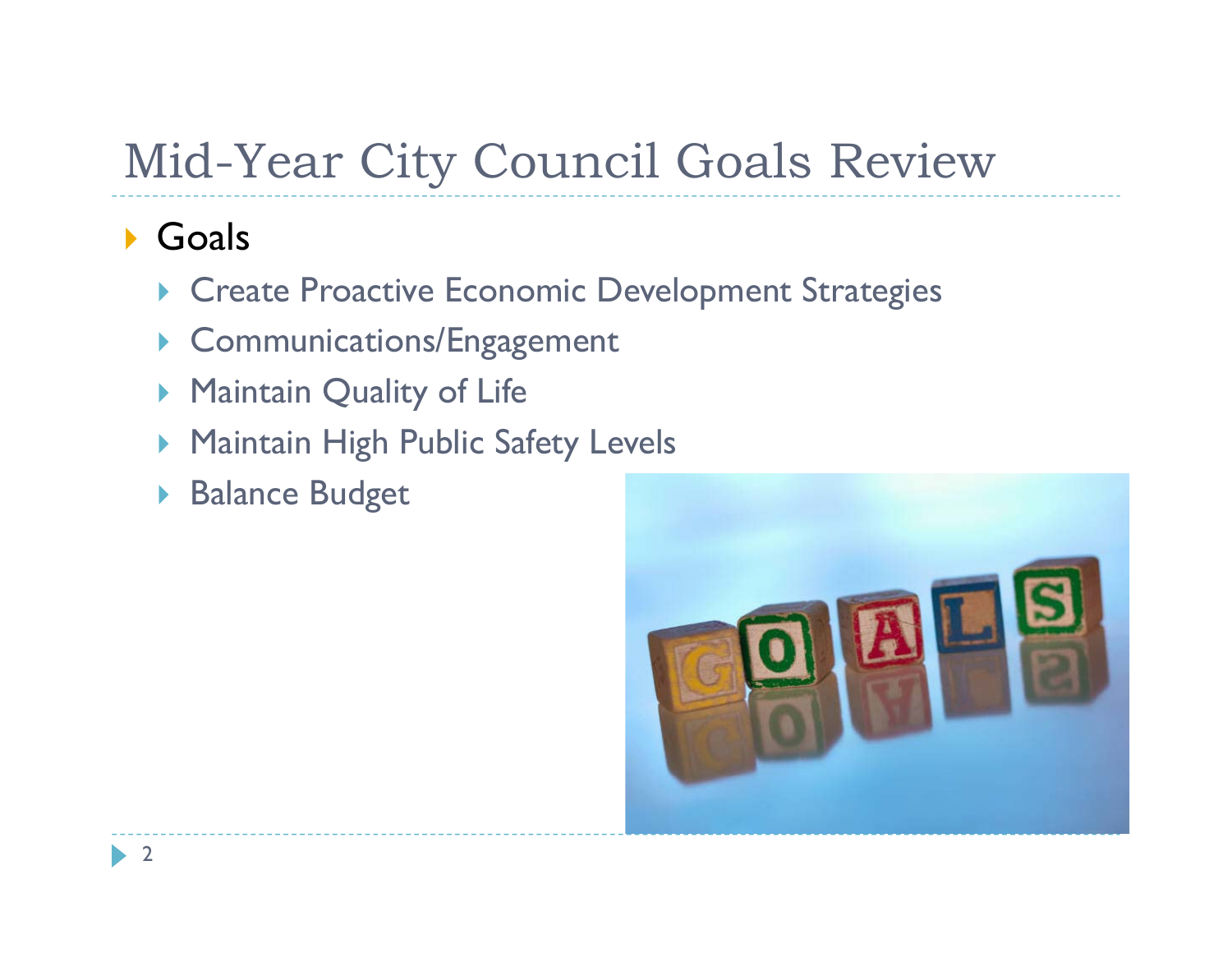## Mid-Year City Council Goals Review

### ▶ Goals

- **Create Proactive Economic Development Strategies**
- **Communications/Engagement**
- ▶ Maintain Quality of Life
- **Maintain High Public Safety Levels**
- ▶ Balance Budget

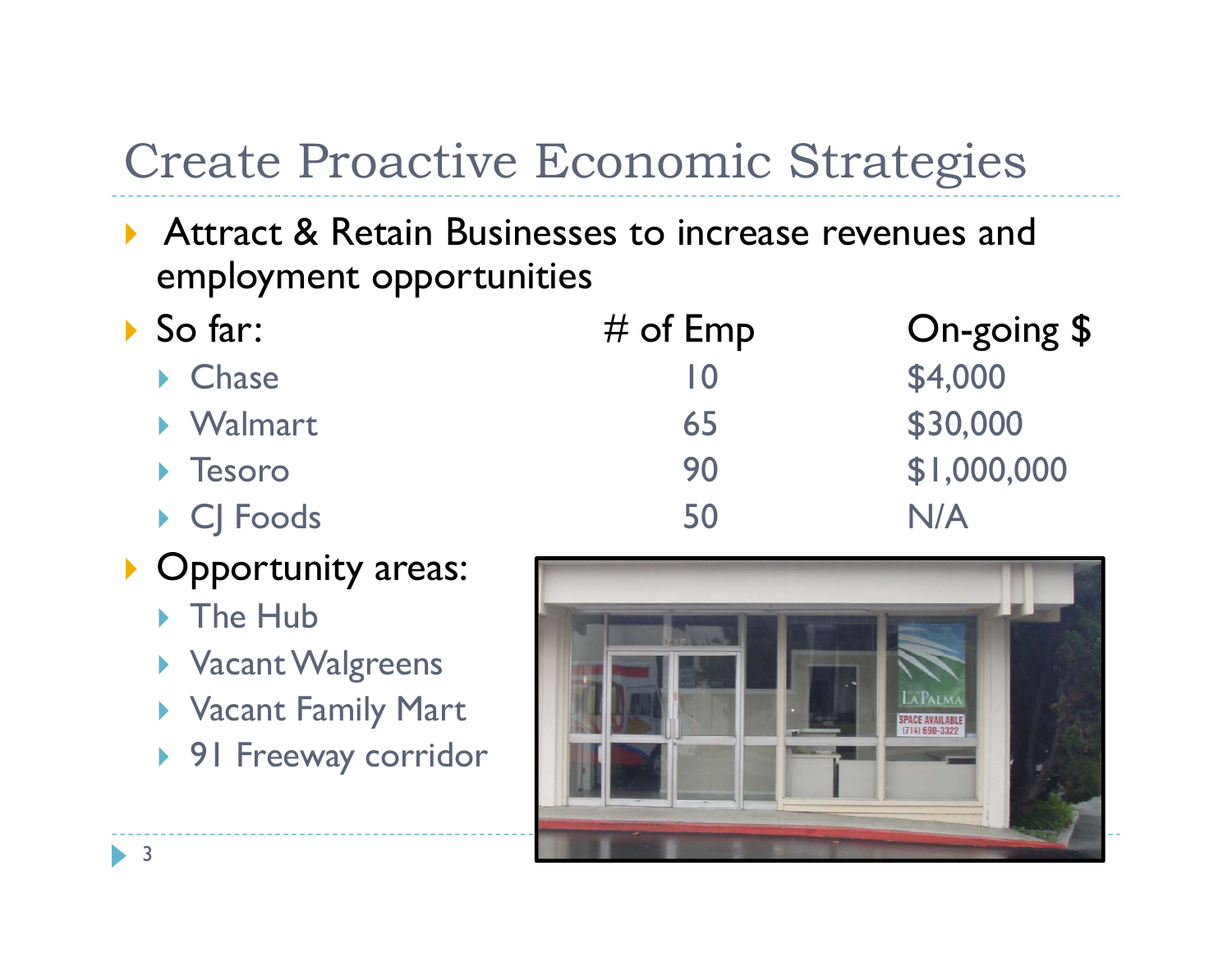## Create Proactive Economic Strategies

- ▶ Attract & Retain Businesses to increase revenues and employment opportunities
- $\triangleright$  So far:
	- Chase 10 \$4,000
	- Walmart 65 \$30,000 \$30,000
	- $\triangleright$  Tesoro
	- CJ Foods 50 N/
- **Opportunity areas:** 
	- ▶ The Hub
	- $\blacktriangleright$  Vacant Walgreens
	- Vacant Family Mart
	- ▶ 91 Freeway corridor



 $#$  of Emp  $\qquad \qquad$  On-going \$

Tesoro 90 \$1,000,000

N/A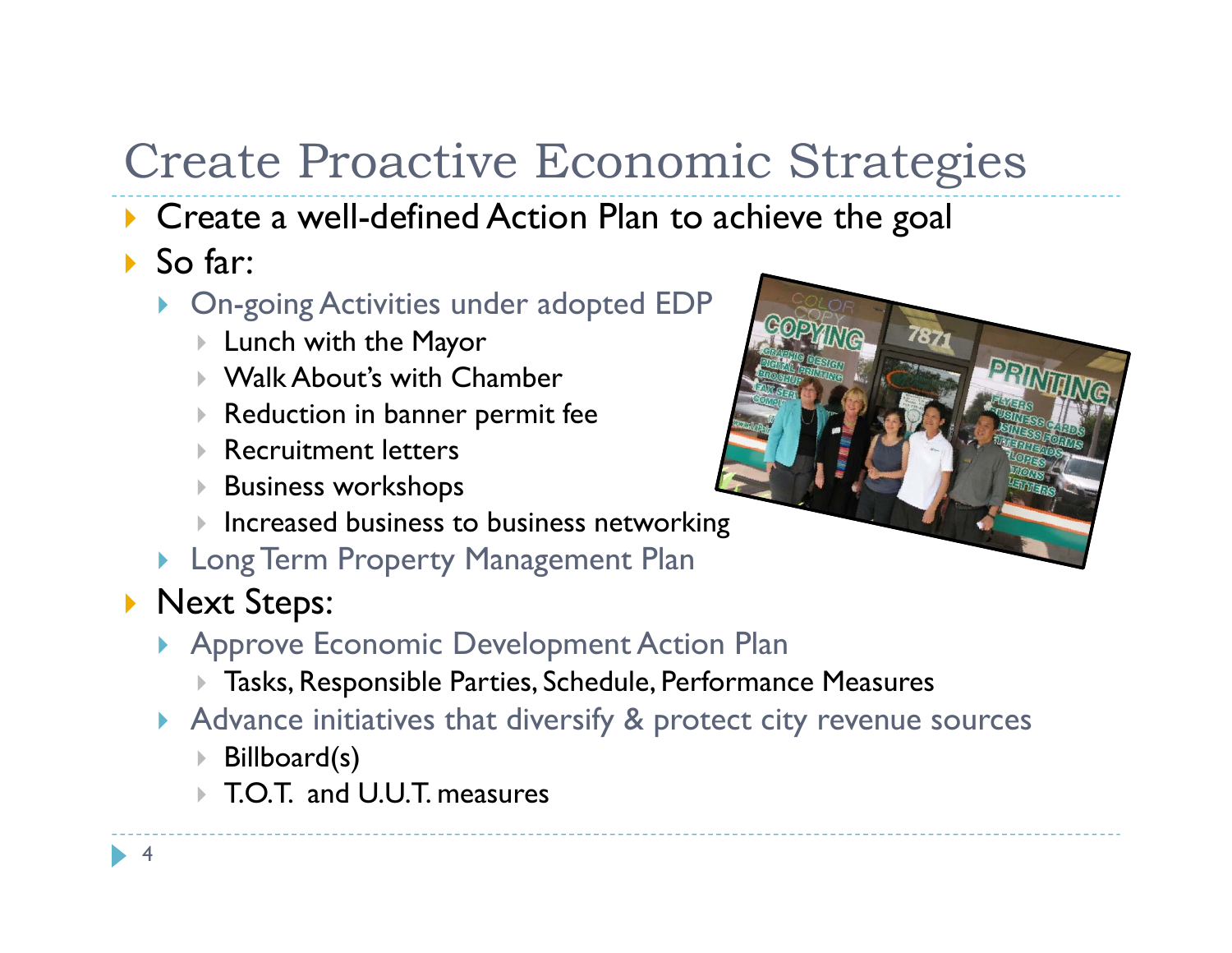# Create Proactive Economic Strategies

- **Create a well-defined Action Plan to achieve the goal**
- ▶ So far:
	- On-going Activities under adopted EDP
		- $\blacktriangleright$  Lunch with the Mayor  $\blacktriangleright$
		- Walk About's with Chamber
		- $\blacktriangleright$ Reduction in banner permit fee
		- $\blacktriangleright$ Recruitment letters
		- $\blacktriangleright$ Business workshops
		- $\blacktriangleright$  $\blacktriangleright$  Increased business to business networking
	- **Long Term Property Management Plan**
- **Next Steps:** 
	- **Approve Economic Development Action Plan** 
		- Tasks, Responsible Parties, Schedule, Performance Measures
	- Advance initiatives that diversify & protect city revenue sources
		- k. Billboard(s)
		- T.O.T. and U.U.T. measures

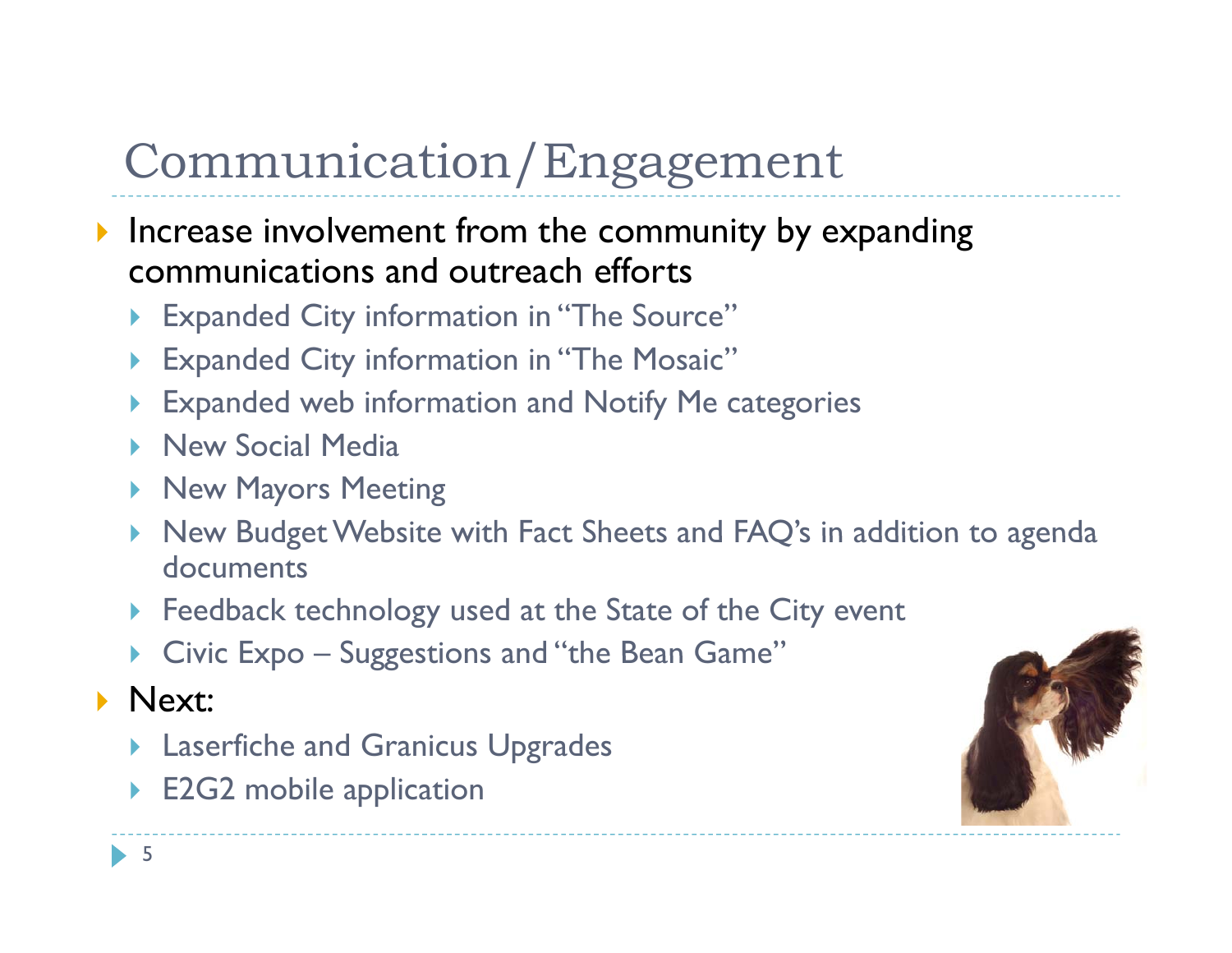- Increase involvement from the community by expanding communications and outreach efforts
	- Expanded City information in "The Source"
	- $\blacktriangleright$ Expanded City information in "The Mosaic"
	- $\blacktriangleright$ **Expanded web information and Notify Me categories**
	- **New Social Media**
	- **New Mayors Meeting**
	- $\blacktriangleright$ New Budget Website with Fact Sheets and FAQ's in addition to agenda documents
	- **Feedback technology used at the State of the City event**
	- ▶ Civic Expo – Suggestions and ''the Bean Game''
- **Next:** 
	- **Laserfiche and Granicus Upgrades**
	- $\blacktriangleright$ E2G2 mobile application

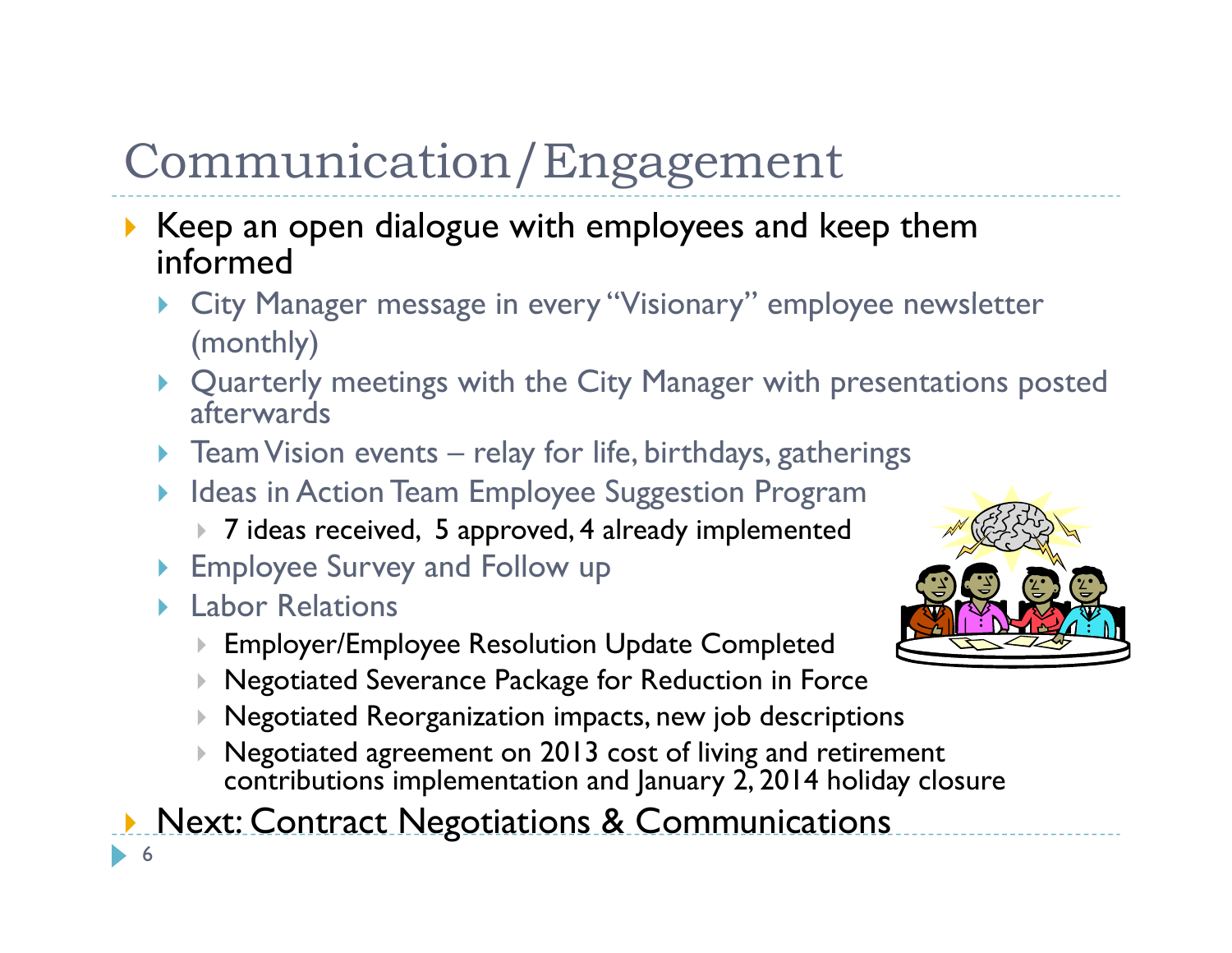- $\blacktriangleright$  Keep an open dialogue with employees and keep them informed
	- ▶ City Manager message in every "Visionary" employee newsletter (monthly)
	- Quarterly meetings with the City Manager with presentations posted afterwards
	- $\blacktriangleright$ Team Vision events – relay for life, birthdays, gatherings
	- $\blacktriangleright$  Ideas in Action Team Employee Suggestion Program
		- 7 ideas received, 5 approved, 4 already implemented
	- **Employee Survey and Follow up**
	- **Labor Relations** 
		- $\blacktriangleright$  $\blacktriangleright$  Employer/Employee Resolution Update Completed
		- $\blacktriangleright$ Negotiated Severance Package for Reduction in Force
		- $\blacktriangleright$ Negotiated Reorganization impacts, new job descriptions
		- $\blacktriangleright$  Negotiated agreement on 2013 cost of living and retirement contributions implementation and January 2, 2014 holiday closure

**Next: Contract Negotiations & Communications**  $\blacktriangleright$ 6

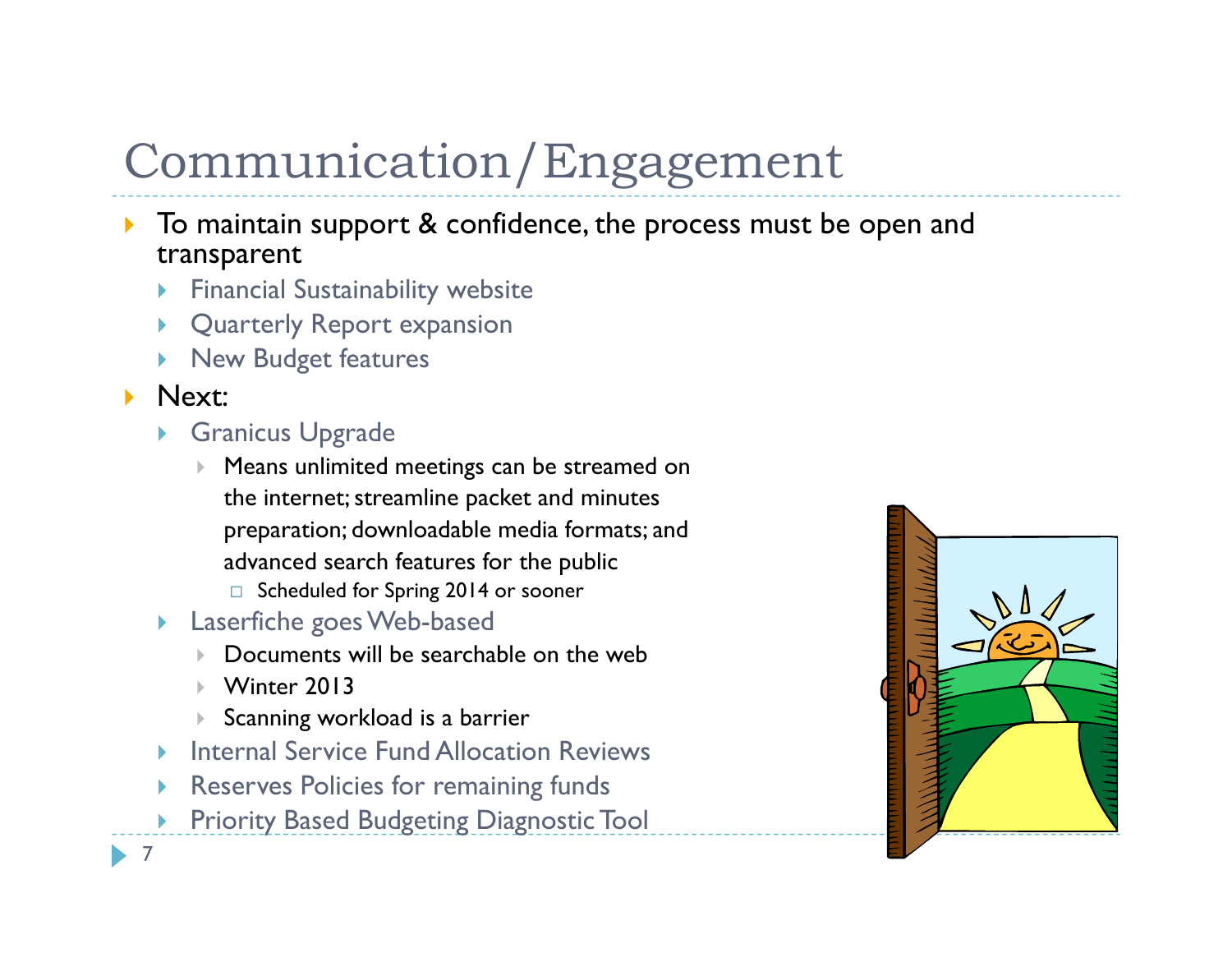- $\blacktriangleright$  To maintain support & confidence, the process must be open and transparent
	- ▶ Financial Sustainability website
	- ▶ Quarterly Report expansion
	- $\blacktriangleright$ New Budget features

#### $\blacktriangleright$  Next:

- ▶ Granicus Upgrade
	- $\mathbf{F}$  . Means unlimited meetings can be streamed on the internet; streamline packet and minutes preparation; downloadable media formats; and advanced search features for the public
		- □ Scheduled for Spring 2014 or sooner
- ▶ Laserfiche goes Web-based
	- $\blacktriangleright$ Documents will be searchable on the web
	- $\blacktriangleright$ Winter 2013
	- $\blacktriangleright$ Scanning workload is a barrier
- $\blacktriangleright$ Internal Service Fund Allocation Reviews
- ▶  $\triangleright$  Reserves Policies for remaining funds
- $\blacktriangleright$ Priority Based Budgeting Diagnostic Tool



 $\blacktriangleright$  7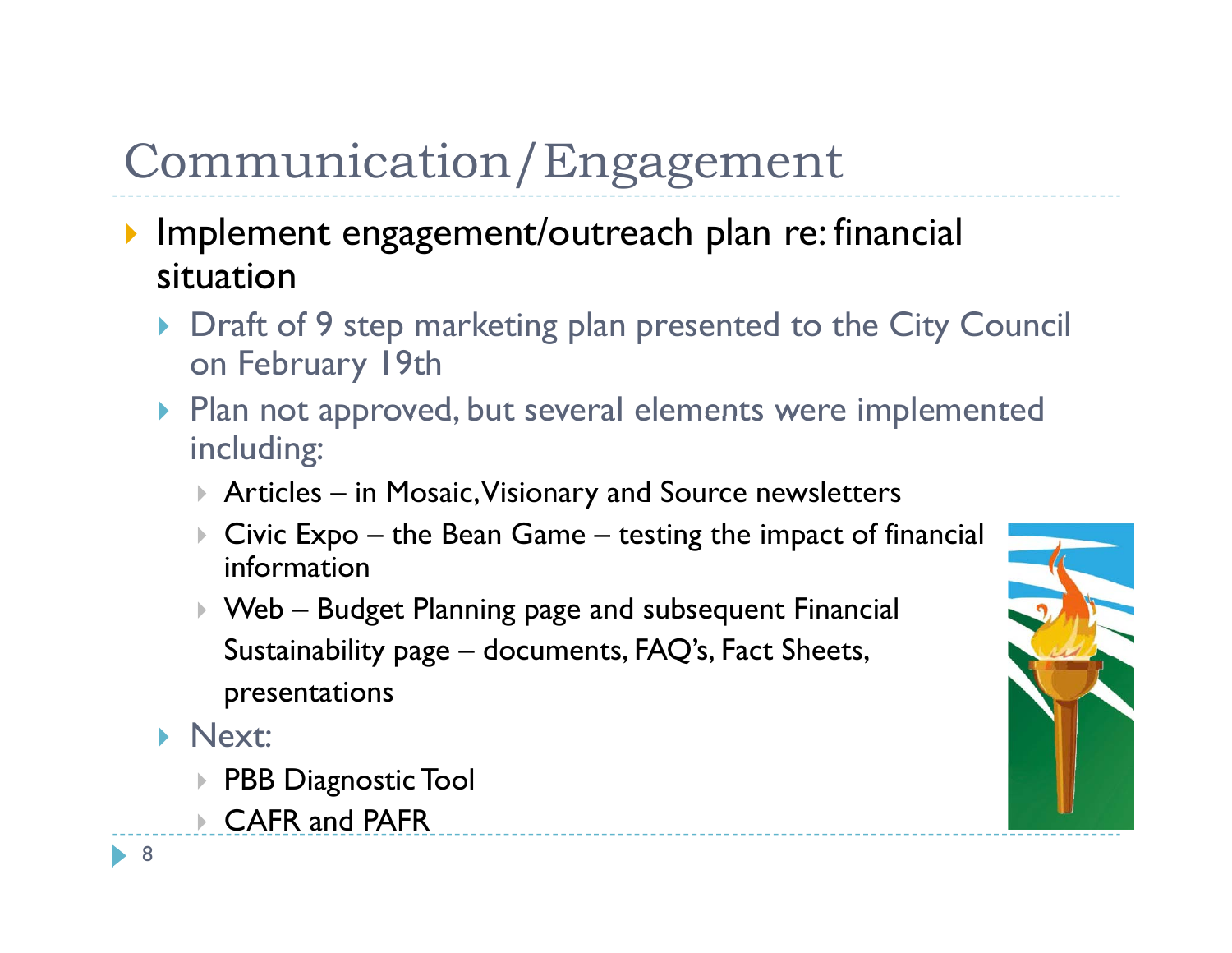- **Implement engagement/outreach plan re: financial** situation
	- ▶ Draft of 9 step marketing plan presented to the City Council on February 19th
	- $\blacktriangleright$  Plan not approved, but several elements were implemented including:
		- Articles in Mosaic, Visionary and Source newsletters
		- $\blacktriangleright$  Civic Expo – the Bean Game – $-$  testing the impact of financial  $\,$ information
		- Web Budget Planning page and subsequent Financial Sustainability page – documents, FAQ's, Fact Sheets,  $\,$ presentations
	- **Next:** 
		- PBB Diagnostic Tool
		- CAFR and PAFR

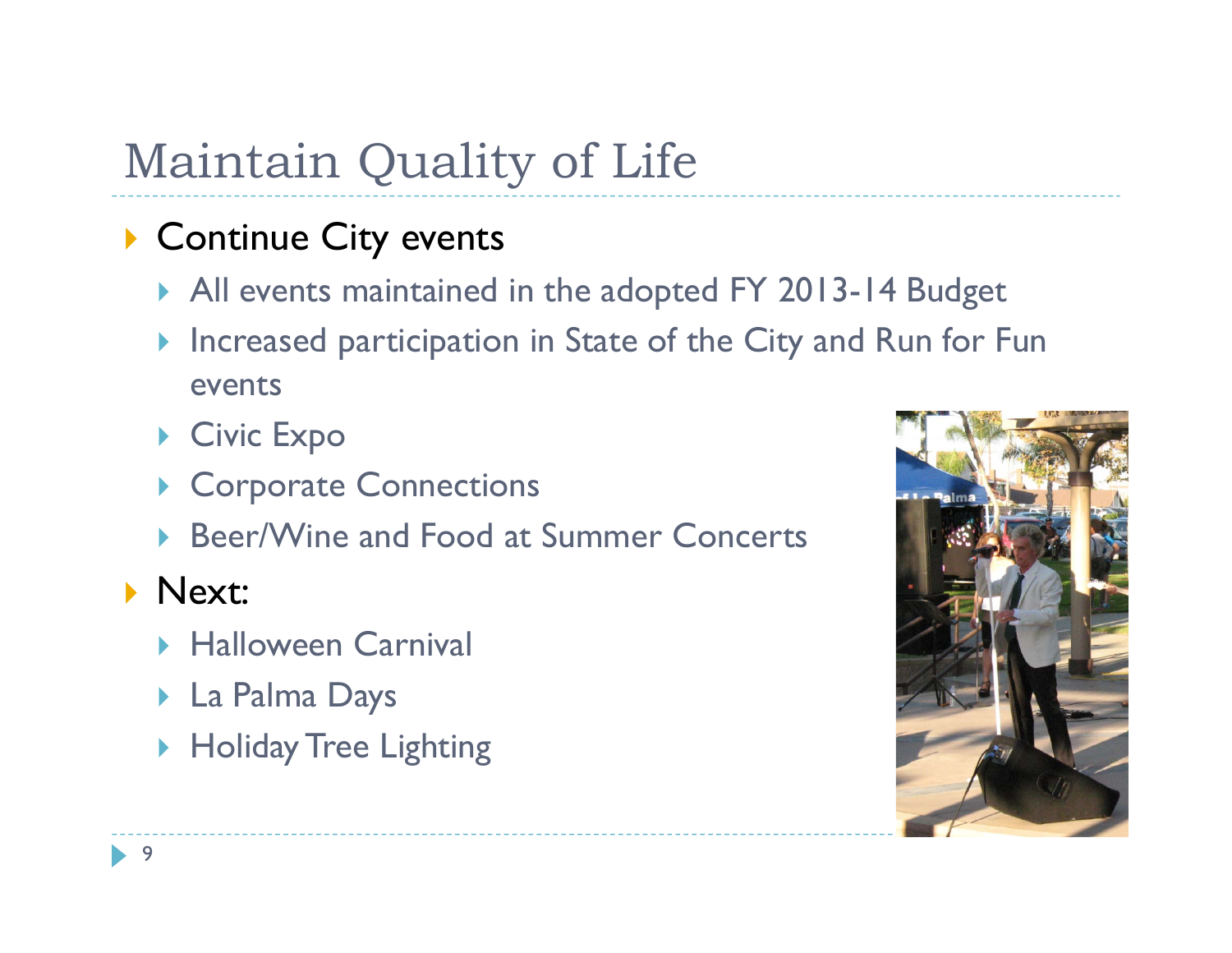### **Continue City events**

- ▶ All events maintained in the adopted FY 2013-14 Budget
- Increased participation in State of the City and Run for Fun events
- ▶ Civic Expo
- ▶ Corporate Connections
- ▶ Beer/Wine and Food at Summer Concerts

### Next:

- **Halloween Carnival**
- La Palma Days
- ▶ Holiday Tree Lighting

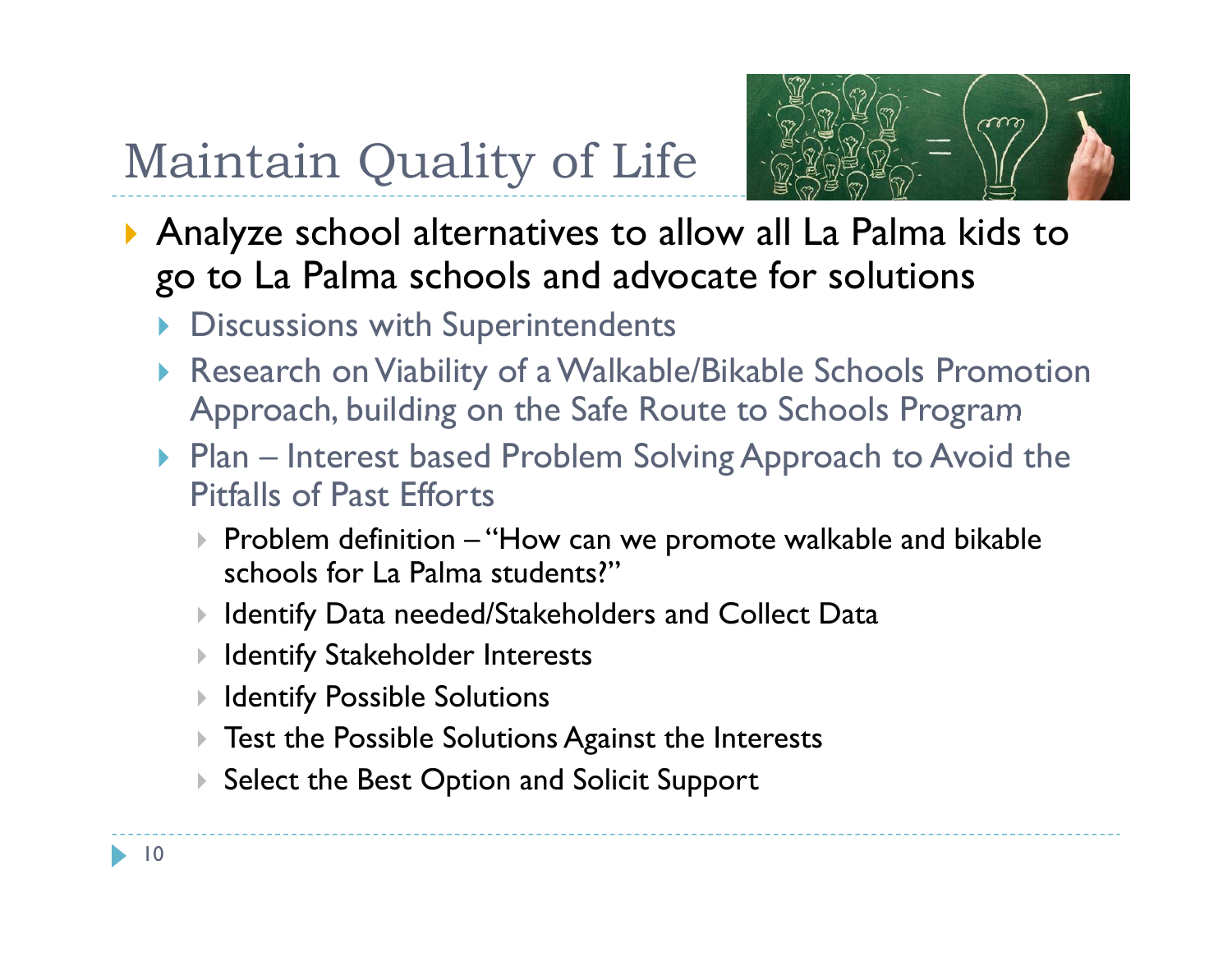

- Analyze school alternatives to allow all La Palma kids to go to La Palma schools and advocate for solutions
	- **Discussions with Superintendents**
	- Research on Viability of a Walkable/Bikable Schools Promotion Approach, building on the Safe Route to Schools Program
	- ▶ Plan Interest based Problem Solving Approach to Avoid the Pitfalls of Past Efforts
		- $\blacktriangleright$  Problem definition —"How can we promote walkable and bikable schools for La Palma students?"
		- $\blacktriangleright$ Identify Data needed/Stakeholders and Collect Data
		- $\blacktriangleright$ Identify Stakeholder Interests
		- $\blacktriangleright$ Identify Possible Solutions
		- $\blacktriangleright$ Test the Possible Solutions Against the Interests
		- $\blacktriangleright$ Select the Best Option and Solicit Support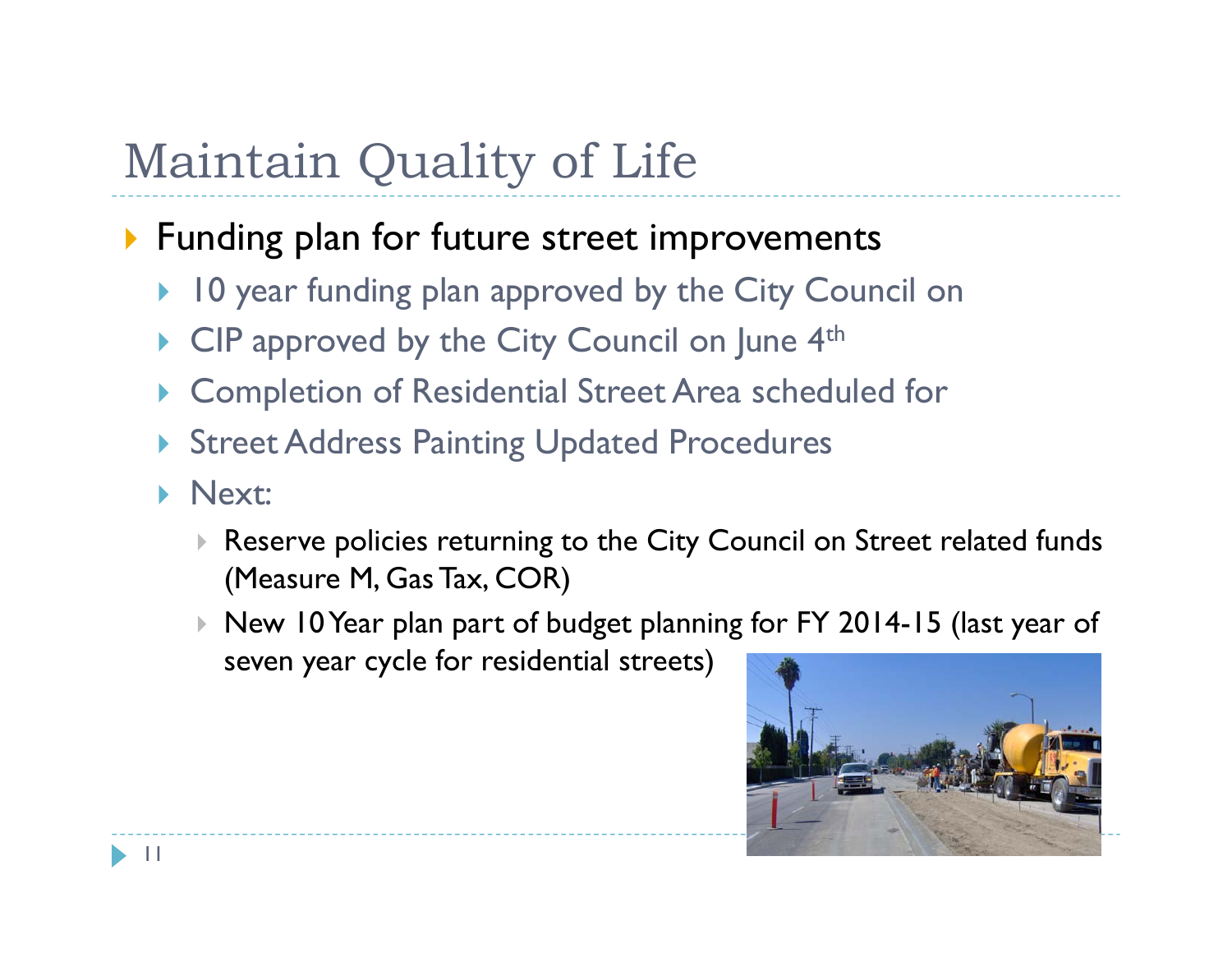### **Funding plan for future street improvements**

- ▶ 10 year funding plan approved by the City Council on
- $\blacktriangleright$ CIP approved by the City Council on June 4<sup>th</sup>
- $\blacktriangleright$ Completion of Residential Street Area scheduled for
- **Street Address Painting Updated Procedures**
- $\blacktriangleright$  Next:
	- $\triangleright$  Reserve policies returning to the City Council on Street related funds (Measure M, Gas Tax, COR)
	- $\blacktriangleright$  New 10 Year plan part of budget planning for FY 2014-15 (last year of seven year cycle for residential streets)

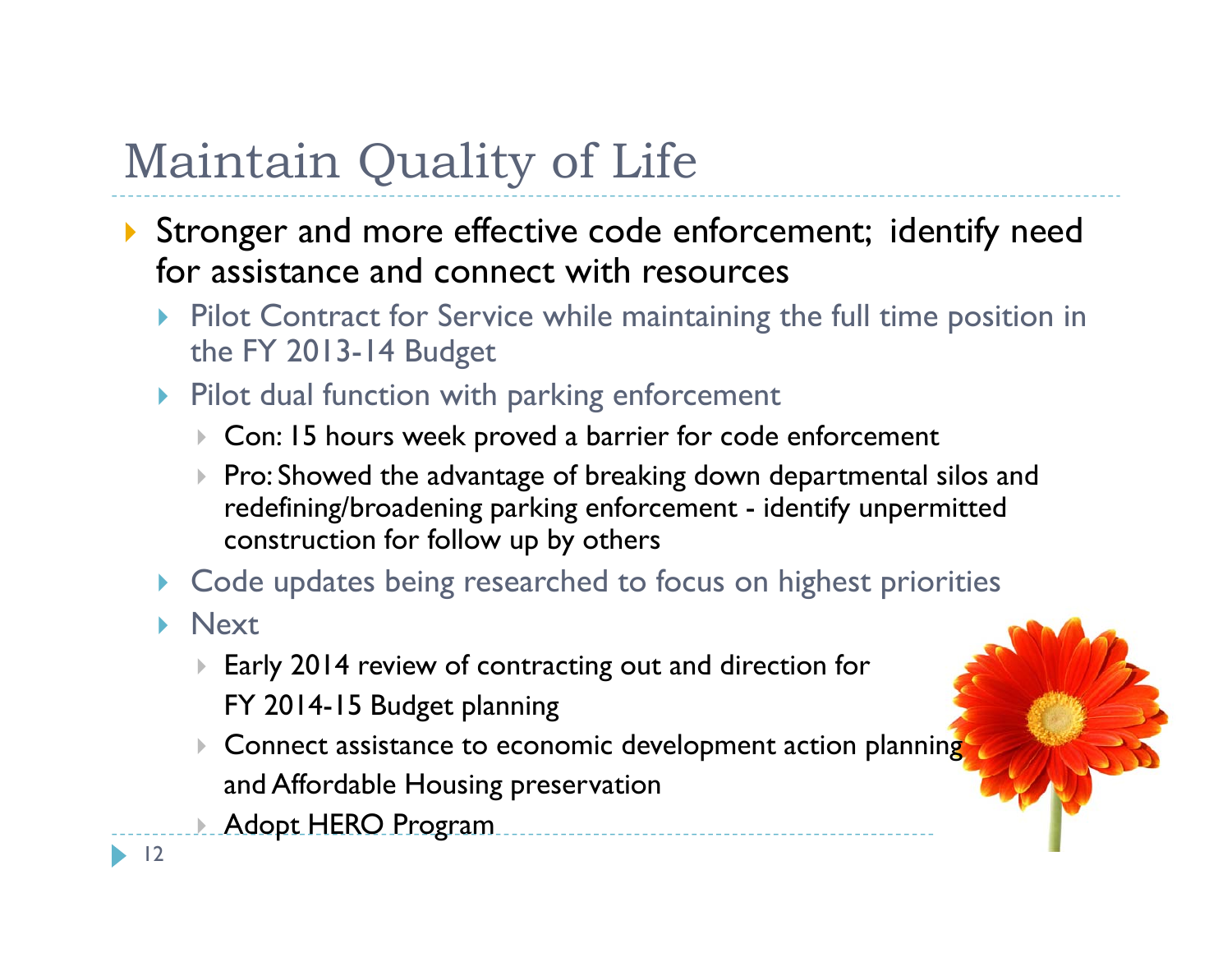- Stronger and more effective code enforcement; identify need for assistance and connect with resources
	- **Pilot Contract for Service while maintaining the full time position in** the FY 2013-14 Budget
	- **Pilot dual function with parking enforcement** 
		- Con: 15 hours week proved a barrier for code enforcement
		- $\blacktriangleright$  Pro: Showed the advantage of breaking down departmental silos and redefining/broadening parking enforcement - identify unpermitted construction for follow up by others
	- $\blacktriangleright$ Code updates being researched to focus on highest priorities
	- **Next** 
		- $\blacktriangleright$  $\blacktriangleright$  Early 2014 review of contracting out and direction for FY 2014-15 Budget planning
		- $\blacktriangleright$  Connect assistance to economic development action planning and Affordable Housing preservation
		- Adopt HERO Program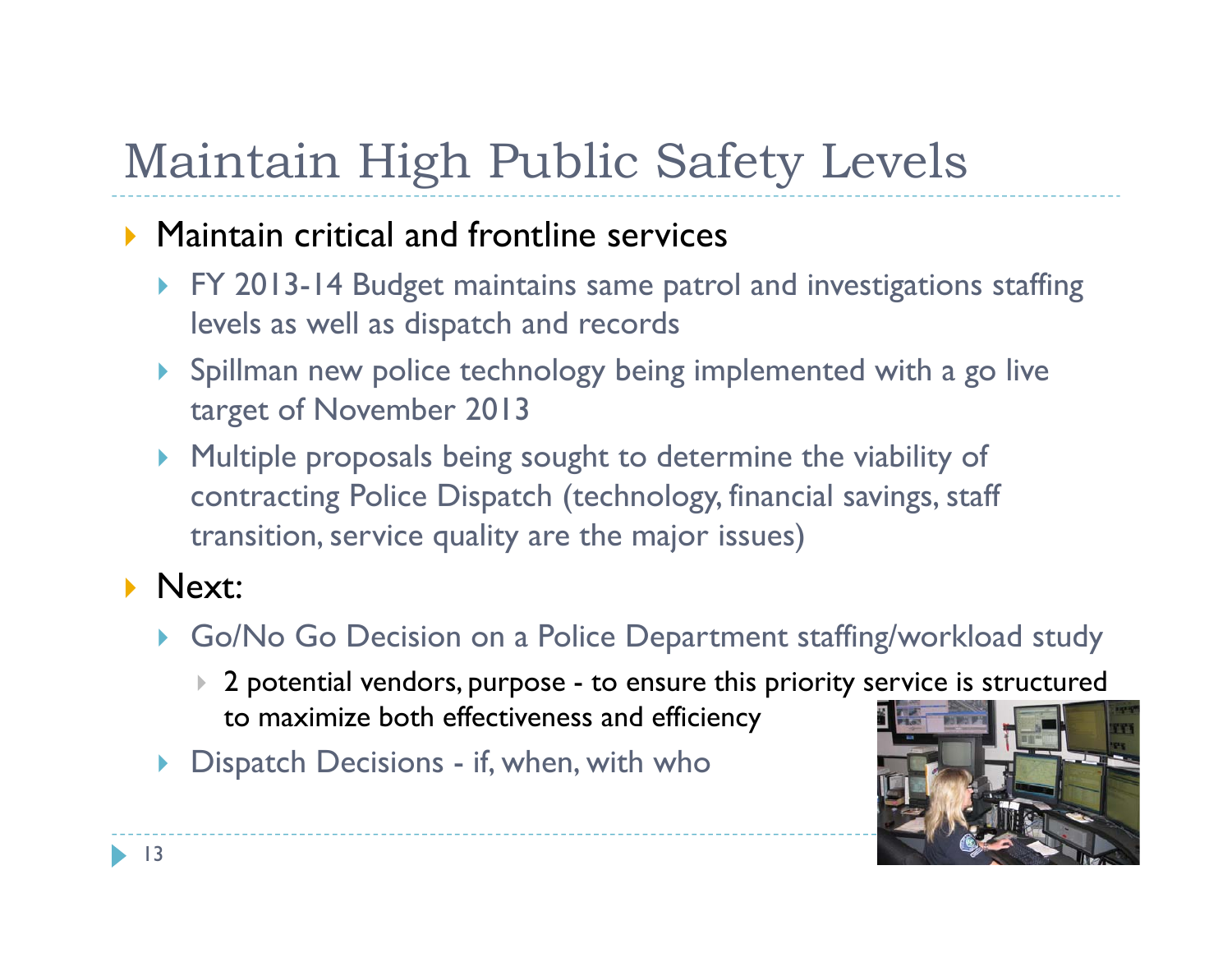# Maintain High Public Safety Levels

### **Maintain critical and frontline services**

- ▶ FY 2013-14 Budget maintains same patrol and investigations staffing levels as well as dispatch and records
- Spillman new police technology being implemented with a go live target of November 2013
- $\blacktriangleright$  Multiple proposals being sought to determine the viability of contracting Police Dispatch (technology, financial savings, staff transition, service quality are the major issues)

### **Next:**

- Go/No Go Decision on a Police Department staffing/workload study
	- $\blacktriangleright$  2 potential vendors, purpose - to ensure this priority service is structured to maximize both effectiveness and efficiency
- $\blacktriangleright$  Dispatch Decisions if, when, with who

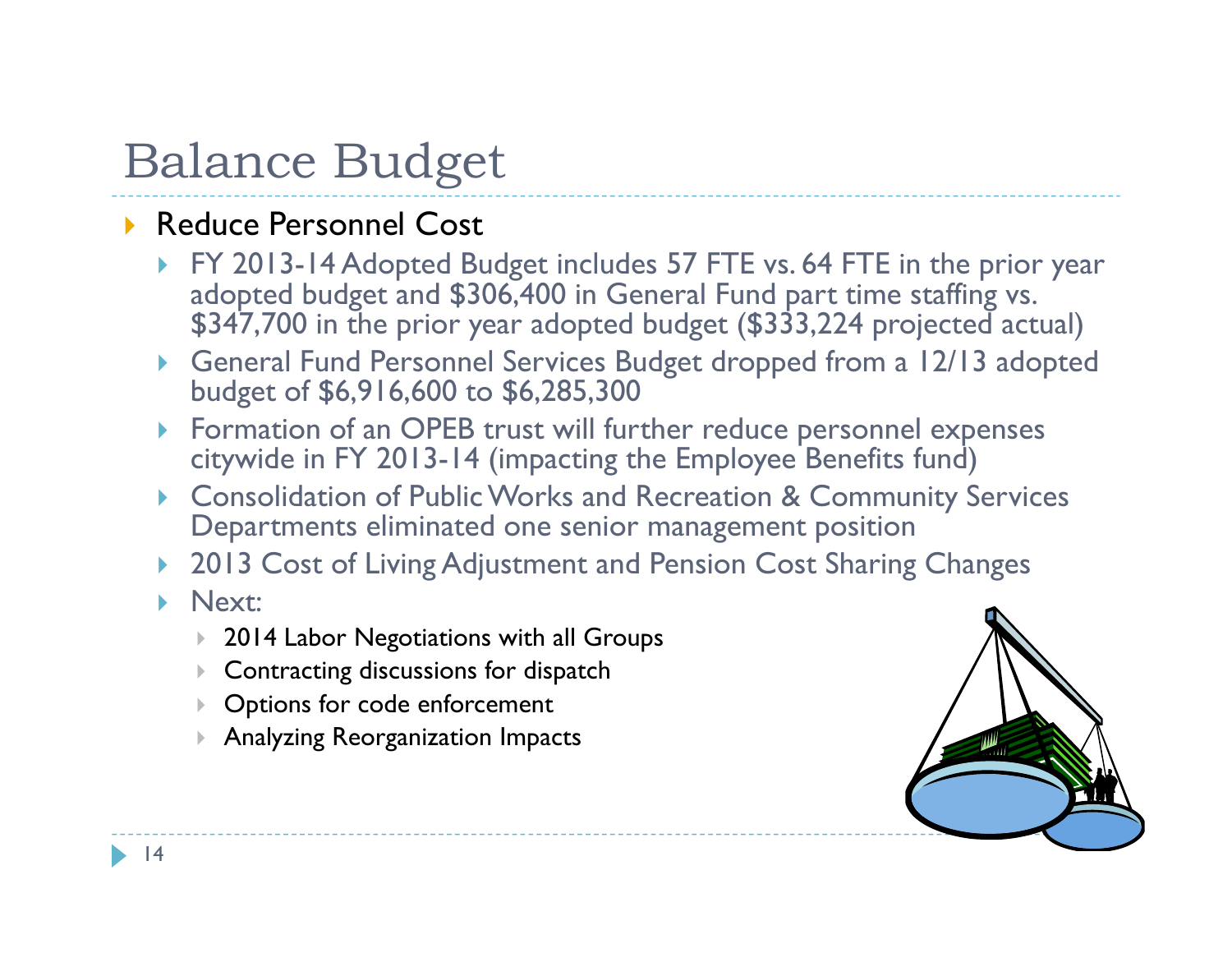### ▶ Reduce Personnel Cost

- ▶ FY 2013-14 Adopted Budget includes 57 FTE vs. 64 FTE in the prior year adopted budget and \$306,400 in General Fund part time staffing vs. \$347,700 in the prior year adopted budget (\$333,224 projected actual)
- General Fund Personnel Services Budget dropped from a 12/13 adopted budget of \$6,916,600 to \$6,285,300
- Formation of an OPEB trust will further reduce personnel expenses citywide in FY 2013-14 (impacting the Employee Benefits fund)
- $\blacktriangleright$  Consolidation of Public Works and Recreation & Community Services Departments eliminated one senior management position
- $\blacktriangleright$ 2013 Cost of Living Adjustment and Pension Cost Sharing Changes

#### **Next:**

- 2014 Labor Negotiations with all Groups
- $\blacktriangleright$ Contracting discussions for dispatch
- $\blacktriangleright$ Options for code enforcement
- Analyzing Reorganization Impacts

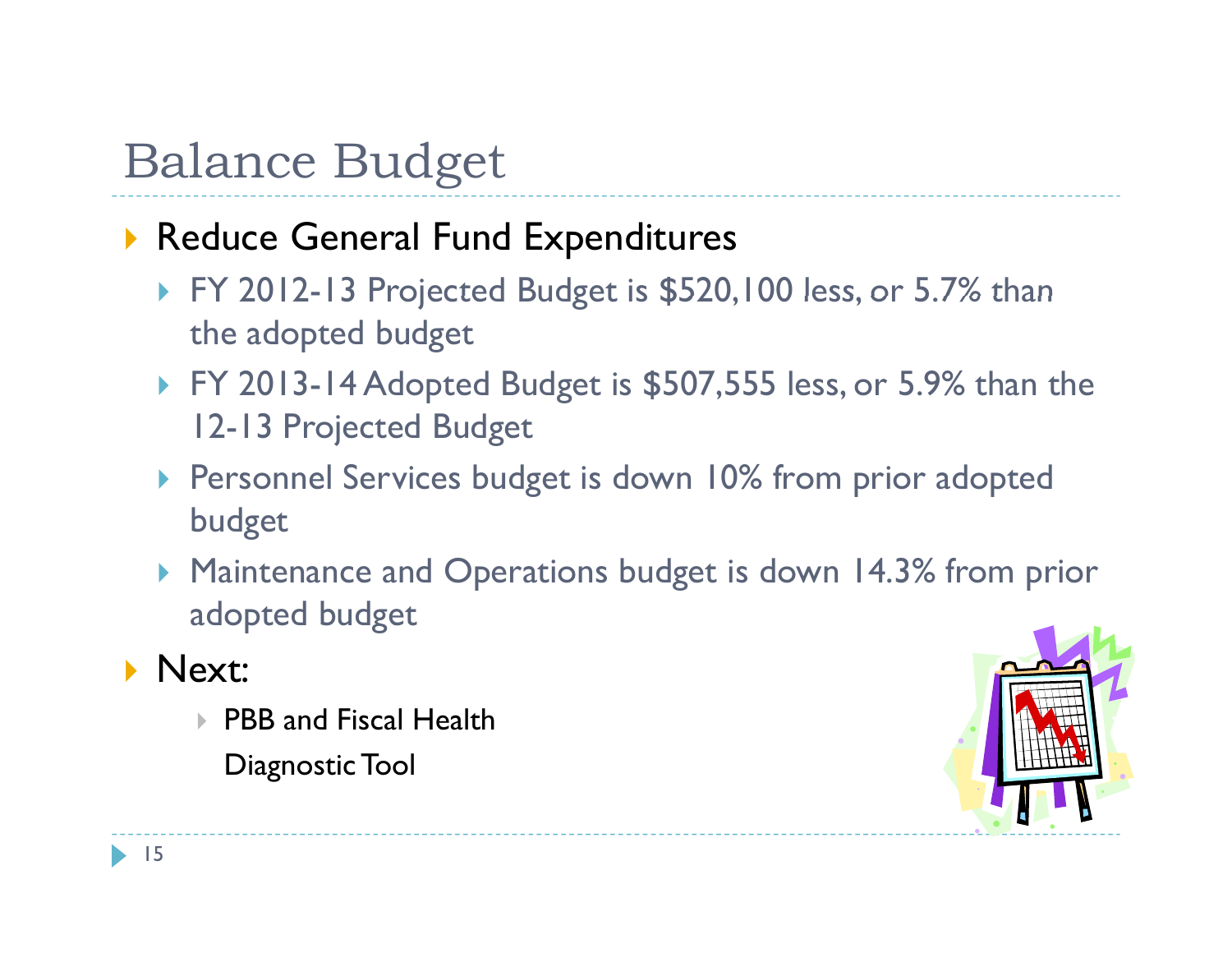### Reduce General Fund Expenditures

- $\blacktriangleright$  FY 2012-13 Projected Budget is \$520,100 less, or 5.7% than the adopted budget
- FY 2013-14 Adopted Budget is \$507,555 less, or 5.9% than the 12-13 Projected Budget
- **Personnel Services budget is down 10% from prior adopted** budget
- Maintenance and Operations budget is down 14.3% from prior adopted budget

### $\blacktriangleright$  Next:

- PBB and Fiscal Health
	- Diagnostic Tool

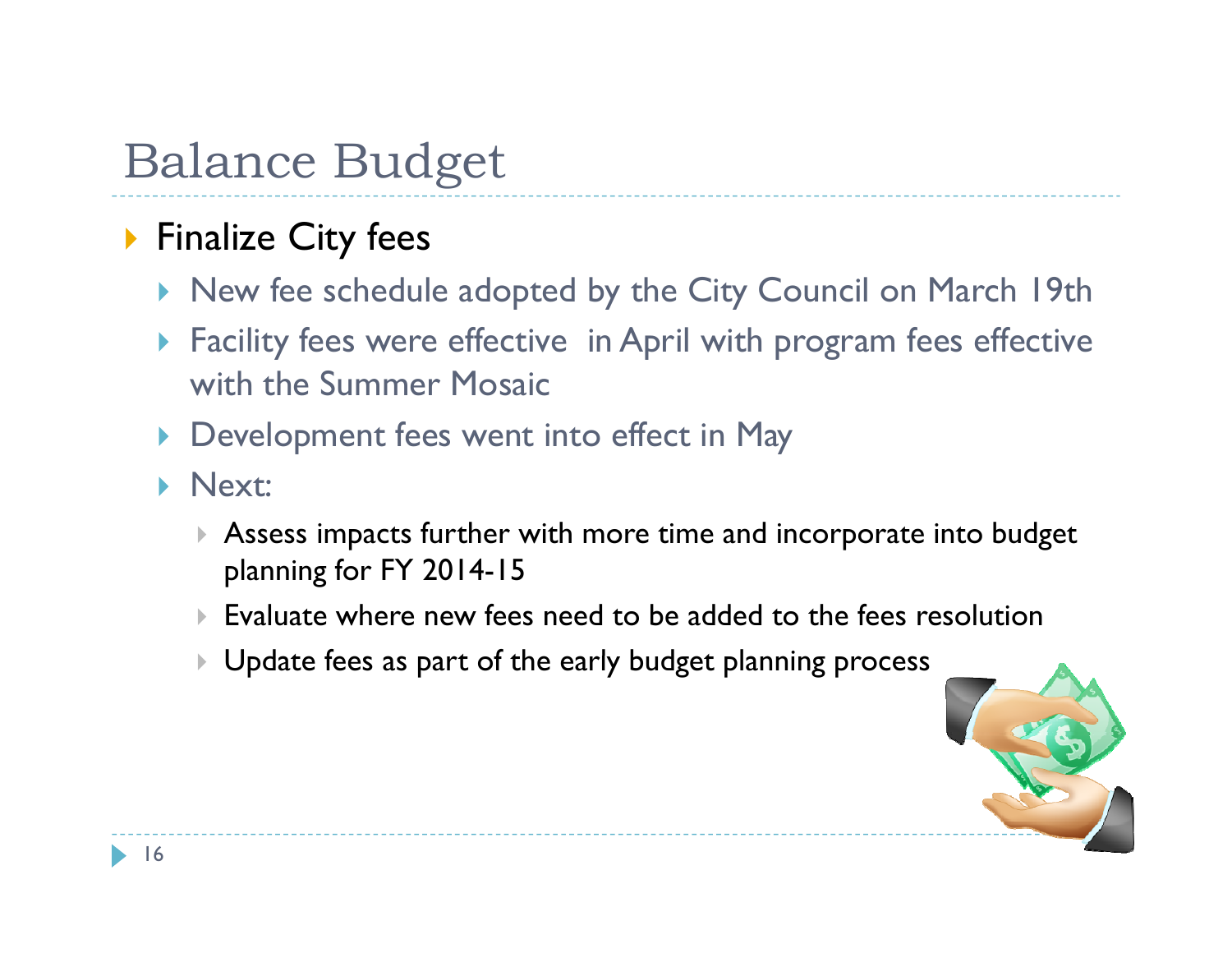### **Finalize City fees**

- ▶ New fee schedule adopted by the City Council on March 19th
- Facility fees were effective in April with program fees effective with the Summer Mosaic
- **Development fees went into effect in May**
- **Next:** 
	- Assess impacts further with more time and incorporate into budget planning for FY 2014-15
	- Evaluate where new fees need to be added to the fees resolution
	- $\blacktriangleright$ Update fees as part of the early budget planning process

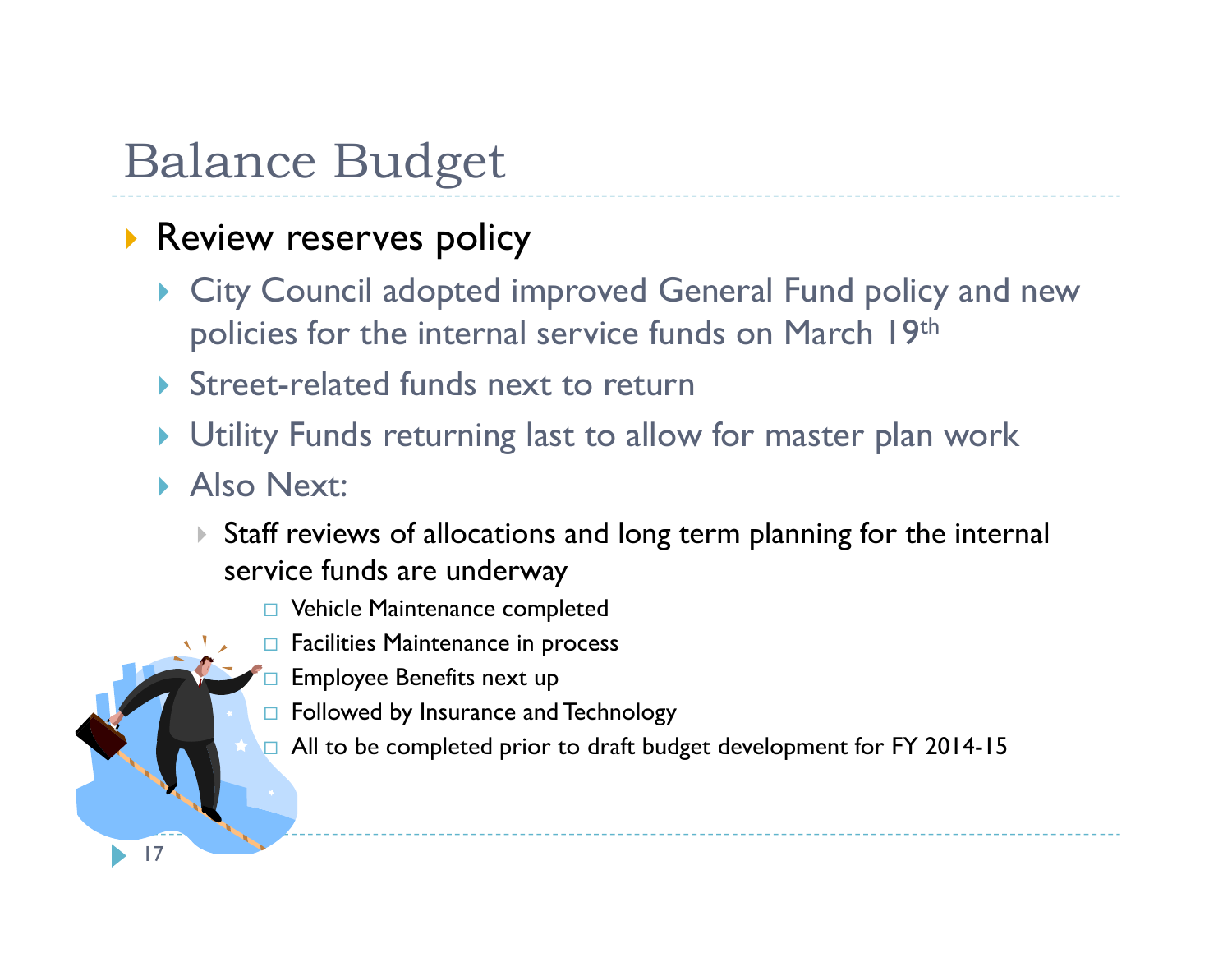### **Review reserves policy**

- City Council adopted improved General Fund policy and new policies for the internal service funds on March 19th
- ▶ Street-related funds next to return
- $\blacktriangleright$ Utility Funds returning last to allow for master plan work
- **Also Next:**

17

- $\blacktriangleright$  Staff reviews of allocations and long term planning for the internal service funds are underway
	- Vehicle Maintenance completed
	- $\Box$  Facilities Maintenance in process
	- $\Box$ Employee Benefits next up
	- $\Box~$  Followed by Insurance and Technology
	- $\Box$  All to be completed prior to draft budget development for FY 2014-15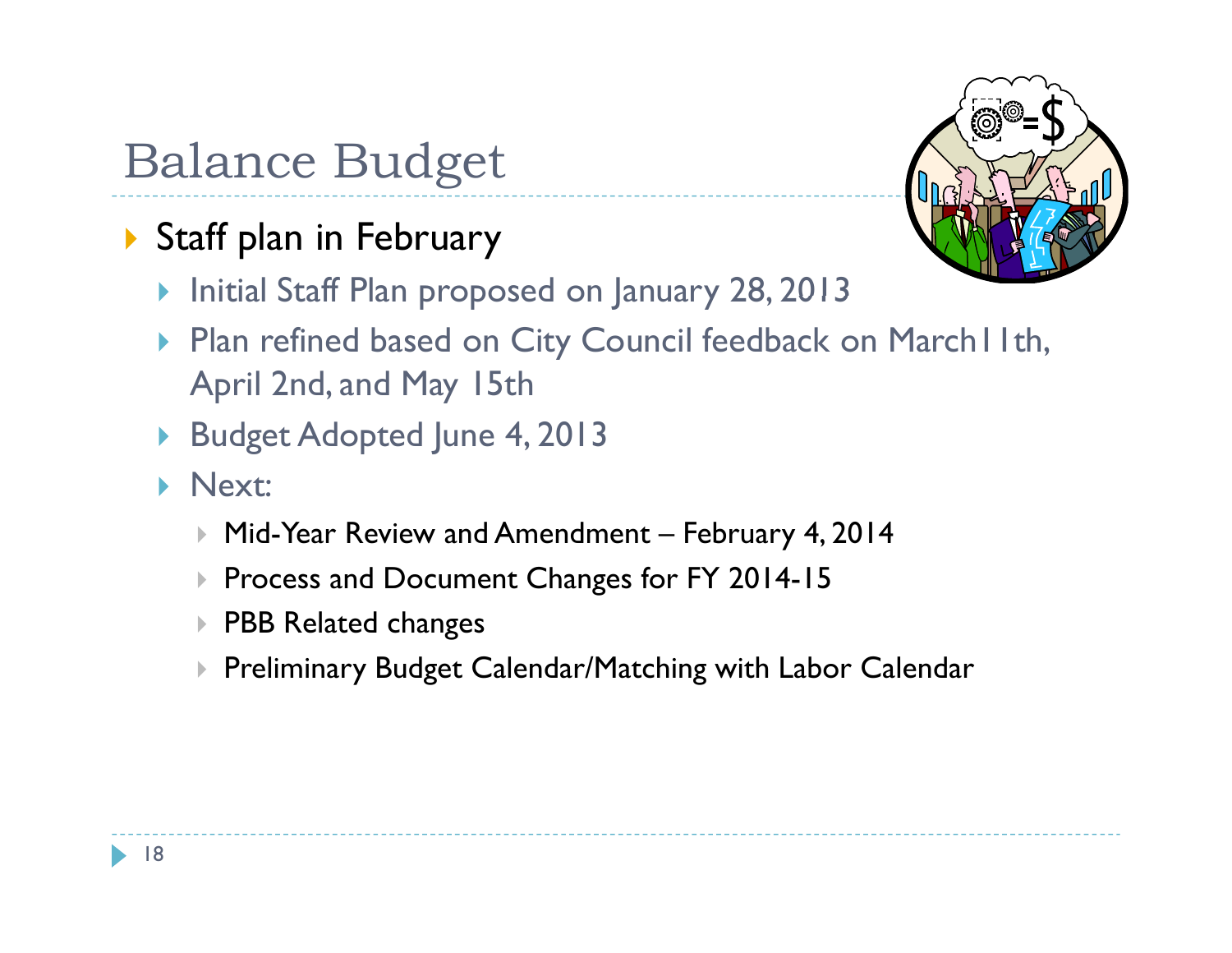- Staff plan in February
	- **Initial Staff Plan proposed on January 28, 2013**



- ▶ Plan refined based on City Council feedback on March I I th, April 2nd, and May 15th
- Budget Adopted June 4, 2013
- **Next:** 
	- $\blacktriangleright$ Mid-Year Review and Amendment – February 4, 2014
	- $\blacktriangleright$ Process and Document Changes for FY 2014-15
	- $\blacktriangleright$  PBB Related changes
	- $\blacktriangleright$  Preliminary Budget Calendar/Matching with Labor Calendar

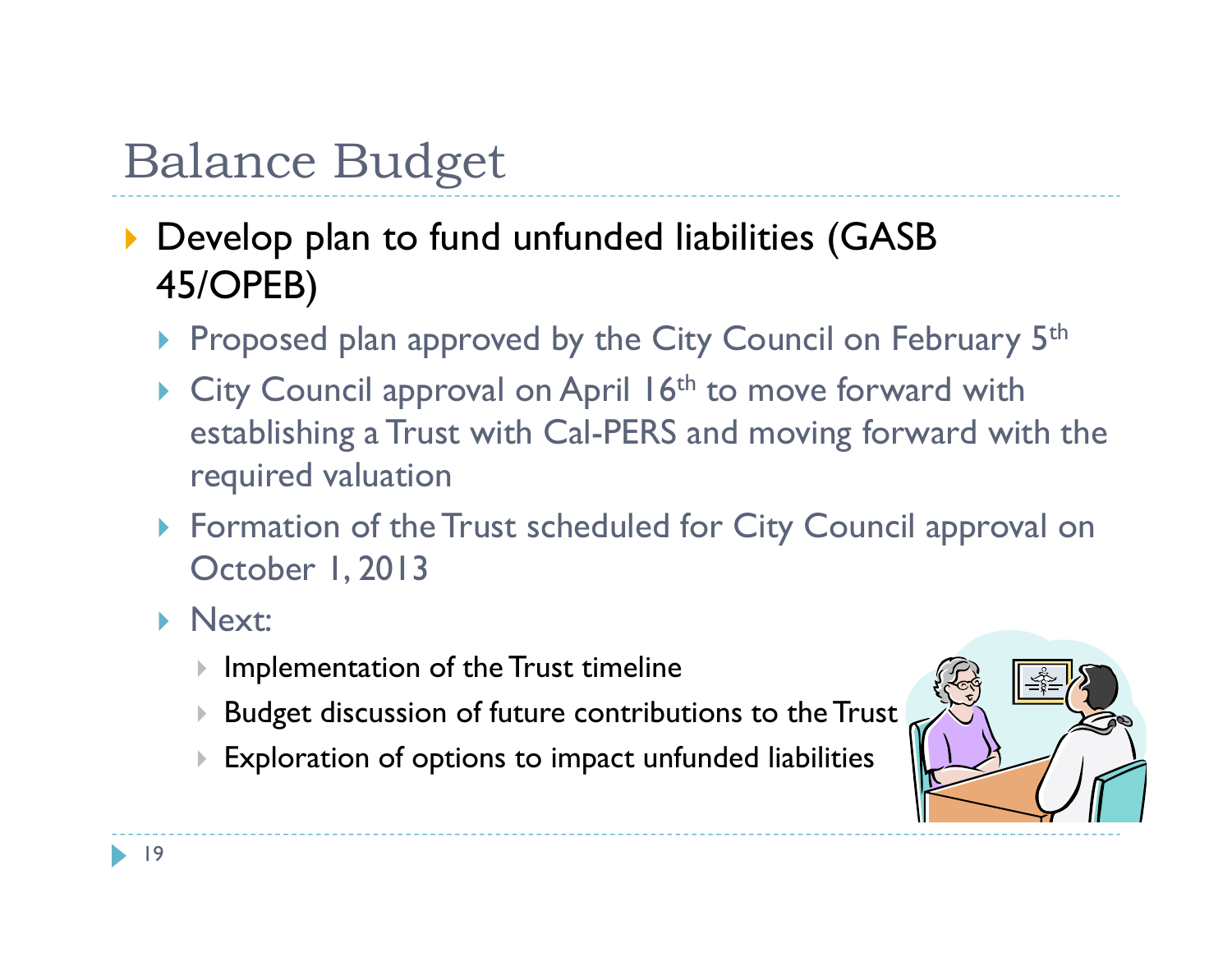- **Develop plan to fund unfunded liabilities (GASB)** 45/OPEB)
	- Proposed plan approved by the City Council on February 5th
	- $\triangleright$  City Council approval on April 16<sup>th</sup> to move forward with establishing a Trust with Cal-PERS and moving forward with the required valuation
	- Formation of the Trust scheduled for City Council approval on October 1, 2013
	- Next:
		- $\blacktriangleright$ Implementation of the Trust timeline
		- $\blacktriangleright$ Budget discussion of future contributions to the Trust
		- $\blacktriangleright$ Exploration of options to impact unfunded liabilities

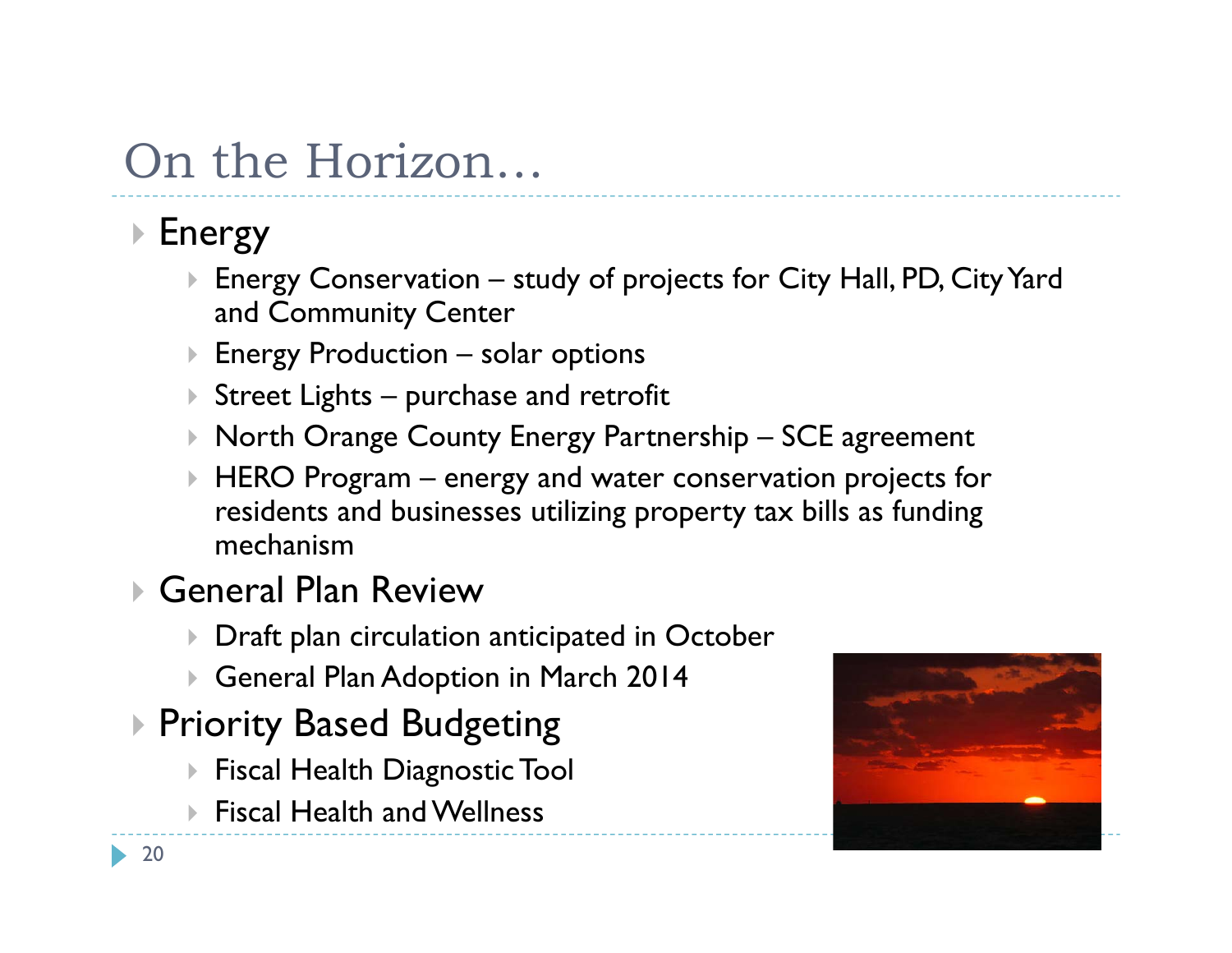## On the Horizon…

## ▶ Energy

- Energy Conservation study of projects for City Hall, PD, City Yard and Community Center
- Energy Production solar options
- $\blacktriangleright$  Street Lights purchase and retrofit
- Þ North Orange County Energy Partnership – SCE agreement
- $\blacktriangleright$  HERO Program – energy and water conservation projects for residents and businesses utilizing property tax bills as funding mechanism
- General Plan Review
	- $\blacktriangleright$  Draft plan circulation anticipated in October
	- General Plan Adoption in March 2014
- Priority Based Budgeting
	- $\blacktriangleright$  Fiscal Health Diagnostic Tool
	- Fiscal Health and Wellness

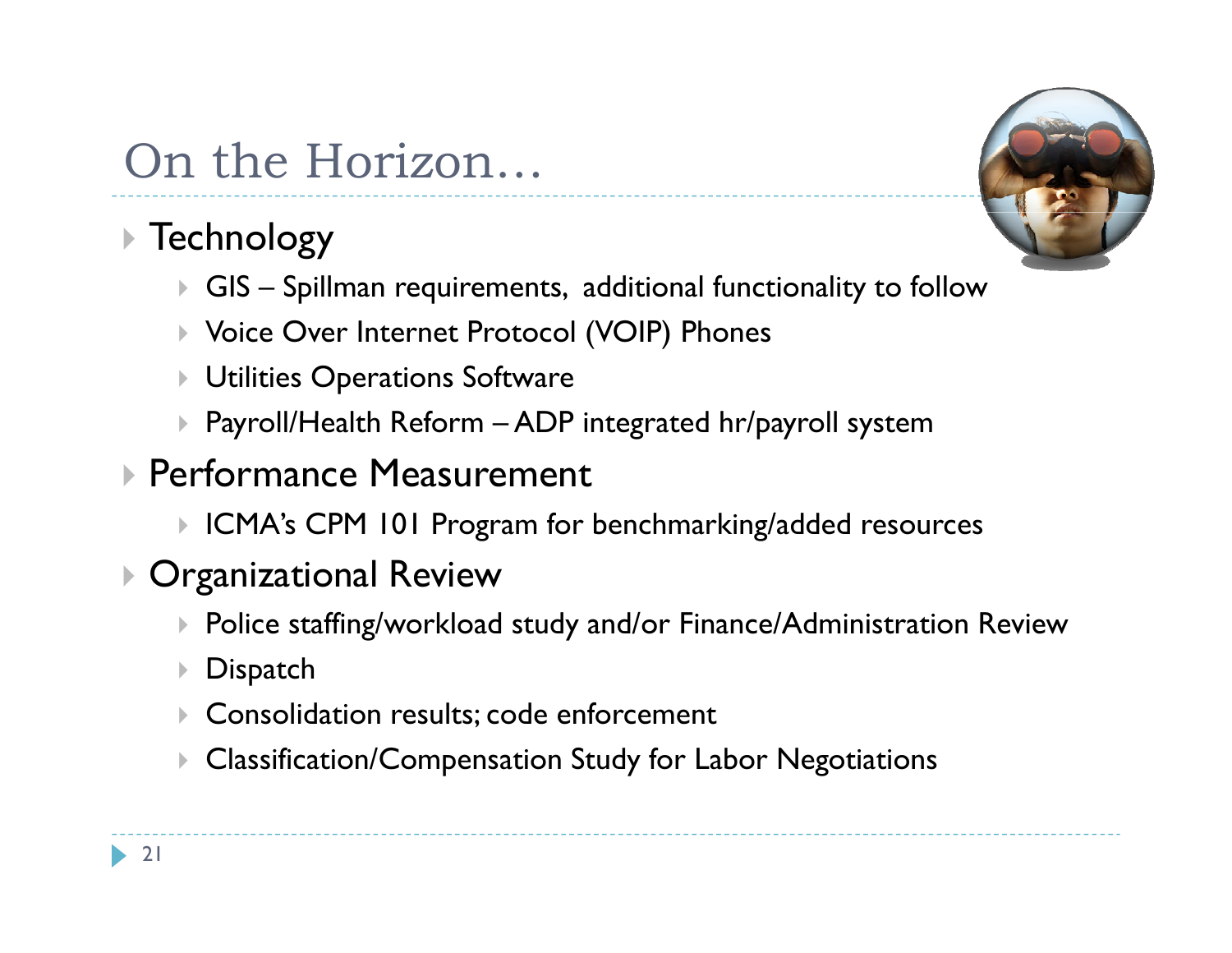## On the Horizon…

## Technology

- $\blacktriangleright$  GIS Spillman requirements, additional functionality to follow
- Voice Over Internet Protocol (VOIP) Phones
- Utilities Operations Software
- $\blacktriangleright$  Payroll/Health Reform ADP integrated hr/payroll system
- Performance Measurement
	- $\blacktriangleright$  ICMA's CPM 101 Program for benchmarking/added resources

### Organizational Review

- Police staffing/workload study and/or Finance/Administration Review
- $\blacktriangleright$  Dispatch
- Consolidation results; code enforcement
- $\blacktriangleright$ Classification/Compensation Study for Labor Negotiations